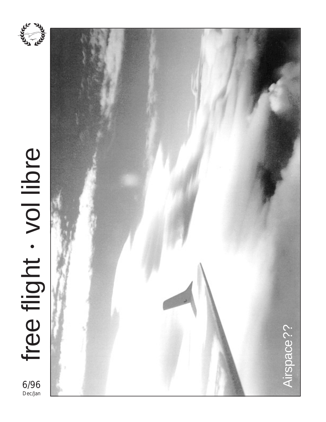

# free flight . vol libre free flight vol libre • 6/96



Dec/Jan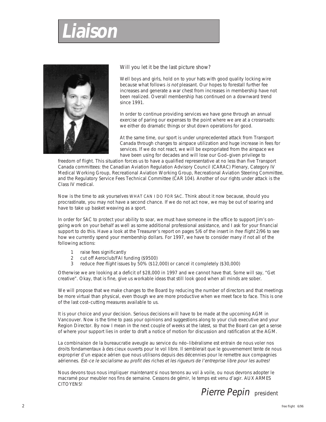# **Liaison**



Will you let it be the last picture show?

Well boys and girls, hold on to your hats with good quality locking wire because what follows is not pleasant. Our hopes to forestall further fee increases and generate a war chest from increases in membership have not been realized. Overall membership has continued on a downward trend since 1991.

In order to continue providing services we have gone through an annual exercise of paring our expenses to the point where we are at a crossroads: we either do dramatic things or shut down operations for good.

At the same time, our sport is under unprecedented attack from Transport Canada through changes to airspace utilization and huge increase in fees for services. If we do not react, we will be expropriated from the airspace we have been using for decades and will lose our God–given privilege to

freedom of flight. This situation forces us to have a qualified representative at no less than five Transport Canada committees: the Canadian Aviation Regulation Advisory Council (CARAC) Plenary, Category IV Medical Working Group, Recreational Aviation Working Group, Recreational Aviation Steering Committee, and the Regulatory Service Fees Technical Committee (CAR 104). Another of our rights under attack is the Class IV medical.

Now is the time to ask yourselves WHAT CAN I DO FOR SAC. Think about it now because, should you procrastinate, you may not have a second chance. If we do not act now, we may be out of soaring and have to take up basket weaving as a sport.

In order for SAC to protect your ability to soar, we must have someone in the office to support Jim's ongoing work on your behalf as well as some additional professional assistance, and I ask for your financial support to do this. Have a look at the Treasurer's report on pages 5/6 of the insert in free flight 2/96 to see how we currently spend your membership dollars. For 1997, we have to consider many if not all of the following actions:

- 1 raise fees significantly
- 2 cut off Aeroclub/FAI funding (\$9500)<br>3 reduce free flight issues by 50% (\$12)
- reduce free flight issues by 50% (\$12,000) or cancel it completely (\$30,000)

Otherwise we are looking at a deficit of \$28,000 in 1997 and we cannot have that. Some will say, "Get creative". Okay, that is fine, give us workable ideas that still look good when all minds are sober.

We will propose that we make changes to the Board by reducing the number of directors and that meetings be more virtual than physical, even though we are more productive when we meet face to face. This is one of the last cost–cutting measures available to us.

It is your choice and your decision. Serious decisions will have to be made at the upcoming AGM in Vancouver. Now is the time to pass your opinions and suggestions along to your club executive and your Region Director. By now I mean in the next couple of weeks at the latest, so that the Board can get a sense of where your support lies in order to draft a notice of motion for discussion and ratification at the AGM.

La combinaison de la bureaucratie aveugle au service du néo–libéralisme est entrain de nous voler nos droits fondamentaux à des cieux ouverts pour le vol libre. Il semblerait que le gouvernement tente de nous exproprier d'un espace aérien que nous utilisons depuis des décennies pour le remettre aux compagnies aériennes. Est–ce le socialisme au profit des riches et les rigueurs de l'entreprise libre pour les autres!

Nous devons tous nous impliquer maintenant si nous tenons au vol à voile, ou nous devrons adopter le macramé pour meubler nos fins de semaine. Cessons de gémir, le temps est venu d'agir. AUX ARMES CITOYENS!

Pierre Pepin president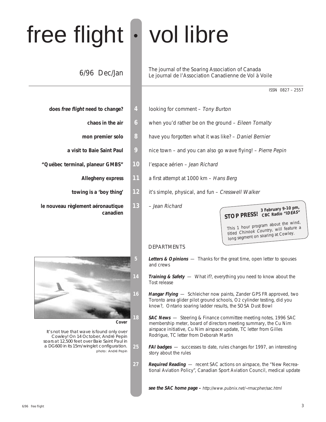# free flight • vol libre

# 6/96 Dec/Jan

- -
	-
	-
- **"Québec terminal, planeur GMBS" 10** l'espace aérien Jean Richard
	-
	-
- **le nouveau règlement aéronautique 13** Jean Richard



**Cover**

It's not true that wave is found only over Cowley! On 14 October, André Pepin soars at 12,500 feet over Baie Saint Paul in a DG600 in its 15m/winglet configuration. photo: André Pepin

The journal of the Soaring Association of Canada Le journal de l'Association Canadienne de Vol à Voile

ISSN 0827 – 2557

- **does free flight need to change? 4** looking for comment Tony Burton
	- **chaos in the air** 6 when you'd rather be on the ground Eileen Tomalty
	- **mon premier solo** 8 have you forgotten what it was like? Daniel Bernier
	- **a visit to Baie Saint Paul 9** nice town and you can also go wave flying! Pierre Pepin
		-
		- **Allegheny express 11** a first attempt at 1000 km Hans Berg
		- **towing is a 'boy thing' 12** it's simple, physical, and fun Cresswell Walker
			-

**canadien**<br> **Canadien STOP PRESS! CBC Radio** "IDEAS"

This 1 hour program about the wind, titled Chinook Country, will feature a long segment on soaring at Cowley.

#### DEPARTMENTS

- **5 Letters & Opinions**  Thanks for the great time, open letter to spouses and crews
	- **Training & Safety** What if?, everything you need to know about the Tost release
- **16 Hangar Flying**  Schleicher now paints, Zander GPS FR approved, two Toronto area glider pilot ground schools, O2 cylinder testing, did you know?, Ontario soaring ladder results, the SOSA Dust Bowl
- 18 **SAC News** Steering & Finance committee meeting notes, 1996 SAC membership meter, board of directors meeting summary, the Cu Nim airspace initiative, Cu Nim airspace update, TC letter from Gilles Rodrigue, TC letter from Deborah Martin
- **25 FAI badges**  successes to date, rules changes for 1997, an interesting story about the rules
- **27 Required Reading**  recent SAC actions on airspace, the "New Recreational Aviation Policy", Canadian Sport Aviation Council, medical update

**see the SAC home page –** http://www.pubnix.net/~rmacpher/sac.html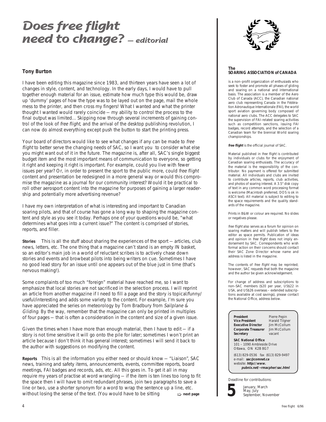# **Does free flight need to change? — editorial**

#### **Tony Burton**

I have been editing this magazine since 1983, and thirteen years have seen a lot of changes in style, content, and technology. In the early days, I would have to pull together enough material for an issue, estimate how much type this would be, draw up 'dummy' pages of how the type was to be layed out on the page, mail the whole mess to the printer, and then cross my fingers! What I wanted and what the printer thought I wanted would rarely coincide — my ability to control the process to the final output was limited... Skipping now through several increments of gaining control of the look of free flight, and the arrival of the desktop publishing revolution, I can now do almost everything except push the button to start the printing press.

Your board of directors would like to see what changes if any can be made to free flight to better serve the changing needs of SAC, so I want you to consider what else you might want out of it in the future. The magazine is, after all, SAC's single biggest budget item and the most important means of communication to everyone, so getting it right and keeping it right is important. For example, could you live with fewer issues per year? Or, in order to present the sport to the public more, could free flight content and presentation be redesigned in a more general way or would this compromise the magazine as a journal for our community interest? Would it be practical to roll other aerosport content into the magazine for purposes of gaining a larger readership and potentially more advertising revenue?

I have my own interpretation of what is interesting and important to Canadian soaring pilots, and that of course has gone a long way to shaping the magazine content and style as you see it today. Perhaps one of your questions would be, "what determines what goes into a current issue?" The content is comprised of stories, reports, and filler.

**Stories** This is all the stuff about sharing the experiences of the sport — articles, club news, letters, etc. The one thing that a magazine can't stand is an empty IN basket, so an editor's main job in a world of reluctant scribes is to actively chase down stories and events and browbeat pilots into being writers on cue. Sometimes I have no good lead story for an issue until one appears out of the blue just in time (that's nervous making!).

Some complaints of too much "foreign" material have reached me, so I want to emphasize that local stories are not sacrificed in the selection process. I will reprint an article from another magazine if I need to fill a page and the story is topical/funny/ useful/interesting and adds some variety to the content. For example, I'm sure you have appreciated the series on meteorology by Tom Bradbury from Sailplane & Gliding. By the way, remember that the magazine can only be printed in multiples of four pages — that is often a consideration in the content and size of a given issue.

Given the times when I have more than enough material, then I have to edit  $-$  if a story is not time sensitive it will go onto the pile for later; sometimes I won't print an article because I don't think it has general interest; sometimes I will send it back to the author with suggestions on modifying the content.

**Reports** This is all the information you either need or should know — "Liaison", SAC news, training and safety items, announcements, events, committee reports, board meetings, FAI badges and records, ads, etc. All this goes in. To get it all in may require my years of practise at word wrangling — if the item is ten lines too long to fit the space then I will have to omit redundant phrases, join two paragraphs to save a line or two, use a shorter synonym for a word to wrap the sentence up a line, etc. without losing the sense of the text. (You would have to be sitting ➯ **next page**



#### **The SOARING ASSOCIATION of CANADA**

is a non–profit organization of enthusiasts who seek to foster and promote all phases of gliding and soaring on a national and international basis. The association is a member of the Aero Club of Canada (ACC), the Canadian national aero club representing Canada in the Fédération Aéronautique Internationale (FAI), the world sport aviation governing body composed of national aero clubs. The ACC delegates to SAC the supervision of FAI–related soaring activities such as competition sanctions, issuing FAI badges, record attempts, and the selection of a Canadian team for the biennial World soaring championships.

**free flight** is the official journal of SAC.

Material published in free flight is contributed by individuals or clubs for the enjoyment of Canadian soaring enthusiasts. The accuracy of the material is the responsibility of the contributor. No payment is offered for submitted material. All individuals and clubs are invited to contribute articles, reports, club activities, and photos of soaring interest. A 3.5" disk copy of text in any common word processing format is welcome (Macintosh preferred, DOS is ok in ASCII text). All material is subject to editing to the space requirements and the quality standards of the magazine.

Prints in B&W or colour are required. No slides or negatives please.

free flight also serves as a forum for opinion on soaring matters and will publish letters to the editor as space permits. Publication of ideas and opinion in free flight does not imply endorsement by SAC. Correspondents who wish formal action on their concerns should contact their SAC Zone Director whose name and address is listed in the magazine.

The contents of free flight may be reprinted; however, SAC requests that both the magazine and the author be given acknowledgement.

For change of address and subscriptions to non–SAC members (\$20 per year, US\$22 in USA, and US\$26 overseas – extended subscriptions available at cost savings), please contact the National Office, address below.

| President<br><b>Vice President</b><br><b>Executive Director</b><br><b>Corporate Treasurer</b><br>Secretary          | Pierre Pepin<br>Harald Tilgner<br>lim McCollum<br>Jim McCollum<br>vacant |  |  |  |  |  |  |
|---------------------------------------------------------------------------------------------------------------------|--------------------------------------------------------------------------|--|--|--|--|--|--|
| <b>SAC National Office</b><br>101 - 1090 Ambleside Drive<br>Ottawa, ON K2B 8G7                                      |                                                                          |  |  |  |  |  |  |
| (613) 829-0536 fax (613) 829-9497<br>e-mail: sac@comnet.ca<br>website: http://www.<br>pubnix.net/~rmacpher/sac.html |                                                                          |  |  |  |  |  |  |

**5**

January, March May, July September, November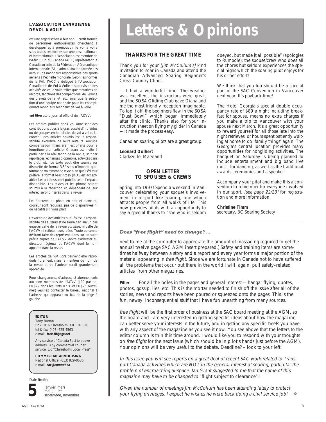#### **L'ASSOCIATION CANADIENNE DE VOL A VOILE**

est une organisation à but non lucratif formée de personnes enthousiastes cherchant à développer et à promouvoir le vol à voile sous toutes ses formes sur une base nationale et internationale. L'association est membre de l'Aéro Club du Canada (ACC) représentant le Canada au sein de la Fédération Aéronautique Internationale (FAI), administration formée des aéro clubs nationaux responsables des sports aériens à l'échelle mondiale. Selon les normes de la FAI, l'ACC a délégué à l'Association Canadienne de Vol à Voile la supervision des activités de vol à voile telles que tentatives de records, sanctions des compétitions, délivrance des brevets de la FAI etc. ainsi que la sélection d'une équipe nationale pour les championnats mondiaux biennaux de vol à voile.

**vol libre** est le journal officiel de l'ACVV.

Les articles publiés dans vol libre sont des contributions dues à la gracieuseté d'individus ou de groupes enthousiastes du vol à voile. Le contenu des articles soumis est la responsabilité exclusive de leurs auteurs. Aucune compensation financière n'est offerte pour la fourniture d'un article. Chacun est invité à participer à la réalisation de la revue, soit par reportages, échanges d'opinions, activités dans le club, etc. Le texte peut être soumis sur disquette de format 3.5" sous n'importe quel format de traitement de texte bien que l'éditeur préfère le format Macintosh (DOS est acceptable). Les articles seront publiés selon l'espace disponible. Les textes et les photos seront soumis à la rédaction et, dépendant de leur intérêt, seront insérés dans la revue.

Les épreuves de photo en noir et blanc ou couleur sont requises; pas de diapositives ni de negatifs s'il vous plaît.

L'exactitude des articles publiés est la responsabilité des auteurs et ne saurait en aucun cas engager celle de la revue vol libre, ni celle de l'ACVV ni refléter leurs idées. Toute personne désirant faire des représentations sur un sujet précis auprès de l'ACVV devra s'adresser au directeur régional de l'ACVV dont le nom apparait dans la revue.

Les articles de vol libre peuvent être reproduits librement, mais la mention du nom de la revue et de l'auteur serait grandement appréciée.

Pour changements d'adresse et abonnements aux non membres de l'ACVV (\$20 par an, EU\$22 dans les Etats Unis, et EU\$26 outre– mer) veuillez contacter le bureau national à l'adresse qui apparait au bas de la page à gauche.

#### **EDITOR**

Tony Burton Box 1916 Claresholm, AB T0L 0T0 tel & fax (403) 625-4563 e-mail **free-flt@agt.net**

Any service of Canada Post to above address. Any commercial courier service, c/o "Claresholm Local Press"

**COMMERCIAL ADVERTISING** National Office (613) 829-0536 e-mail **sac@comnet.ca**

Date limite:



janvier, mars mai, juillet septembre, novembre

# **Letters & Opinions**

#### **THANKS FOR THE GREAT TIME**

Thank you for your [Jim McCollum's] kind invitation to soar in Canada and attend the Canadian Advanced Soaring Beginner's Cross–Country Clinic.

... I had a wonderful time. The weather was excellent, the instructors were great, and the SOSA Gliding Club gave Diana and me the most friendly reception imaginable. To top it off, the beginners flew in the SOSA "Dust Bowl" which began immediately after the clinic. Thanks also for your instruction sheet on flying my glider in Canada — it made the process easy.

Canadian soaring pilots are a great group.

#### **Leonard Dolhert**

Clarksville, Maryland

#### **OPEN LETTER TO SPOUSES & CREWS**

Spring into 1997! Spend a weekend in Vancouver celebrating your spouse's involvement in a sport like soaring, one which attracts people from all walks of life. This now provides pilots with an opportunity to say a special thanks to "she who is seldom obeyed, but made it all possible" (apologies to Rumpole); the spouse/crew who does all the chores but seldom experiences the special highs which the soaring pilot enjoys for his or her effort!

We think that you too should be a special part of the SAC Convention in Vancouver next year. It's payback time!

The Hotel Georgia's special double occupancy rate of \$89 a night including breakfast for spouse, means no extra charges if you make a trip to Vancouver with your spouse next March. It's a great opportunity to reward yourself for all those late into the night retrieves, or hours spent patiently waiting at home to do 'family things' again. The Georgia's central location provides many opportunities for nongliding activities. The banquet on Saturday is being planned to include entertainment and big band live music for dancing, as well as the traditional awards ceremonies and a speaker.

Accompany your pilot and make this a convention to remember for everyone involved in our sport. [see page 22/23] for registration and more information.

**Christine Timm** secretary, BC Soaring Society

#### **Does "free flight" need to change? ...**

next to me at the computer to appreciate the amount of massaging required to get the annual twelve page SAC AGM insert prepared.) Safety and training items are sometimes halfway between a story and a report and every year forms a major portion of the material appearing in free flight. Since we are fortunate in Canada not to have suffered all the problems that occur out there in the world I will, again, pull safety–related articles from other magazines.

**Filler** For all the holes in the pages and general interest — hangar flying, quotes, photos, gossip, lies, etc. This is the mortar needed to finish off the issue after all of the stories, news and reports have been poured or squeezed onto the pages. This is the fun, newsy, inconsequential stuff that I have fun unearthing from many sources.

free flight will be the first order of business at the SAC board meeting at the AGM, so the board and I are very interested in getting specific ideas about how the magazine can better serve your interests in the future, and in getting any specific beefs you have with any aspect of the magazine as you see it now. You see above that the letters to the editor column is thin this time around. I would like you to respond with your thoughts on free flight for the next issue (which should be in pilot's hands just before the AGM). Your opinions will be very useful to the debate. Deadline? – look to your left!

In this issue you will see reports on a great deal of recent SAC work related to Transport Canada activities which are NOT in the general interest of soaring, particular the problem of encroaching airspace. Ian Grant suggested to me that the name of this magazine may have to be changed to "flight subject to clearance"!

Given the number of meetings Jim McCollum has been attending lately to protect your flying privileges, I expect he wishes he were back doing a civil service job! ❖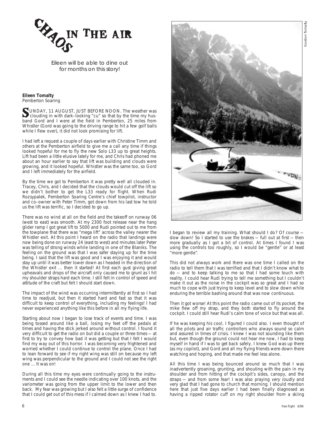

Eileen will be able to dine out for months on this story!

#### **Eileen Tomalty** Pemberton Soaring

SUNDAY, 11 AUGUST, JUST BEFORE NOON. The weather was clouding in with dark–looking "cu" so that by the time my husband Gord and I were at the field in Pemberton, 25 miles from Whistler (Gord was going to the driving range to hit a few golf balls while I flew over), it did not look promising for lift.

I had left a request a couple of days earlier with Christine Timm and others at the Pemberton airfield to give me a call any time if things looked hopeful for me to fly the new Solo L33 up to great heights. Lift had been a little elusive lately for me, and Chris had phoned me about an hour earlier to say that lift was building and clouds were growing, and it looked hopeful. Whistler was the same too, so Gord and I left immediately for the airfield.

By the time we got to Pemberton it was pretty well all clouded in. Tracey, Chris, and I decided that the clouds would cut off the lift so we didn't bother to get the L33 ready for flight. When Rudi Rozsypalek, Pemberton Soaring Centre's chief towpilot, instructor and co–owner with Peter Timm, got down from his last tow he told us the lift was terrific, so I decided to go up.

There was no wind at all on the field and the takeoff on runway 06 (west to east) was smooth. At my 2300 foot release near the hang glider ramp I got great lift to 5000 and Rudi pointed out to me from the towplane that there was "mega lift" across the valley nearer the Whistler exit. At this point I heard on the radio that landings were now being done on runway 24 (east to west) and minutes later Peter was telling of strong winds while landing in one of the Blaniks. The feeling on the ground was that I was safer staying up for the time being. I said that the lift was good and I was enjoying it and would stay up until it was better lower down as I headed in the direction of the Whistler exit ... then it started! At first each gust giving great upheavals and drops of the aircraft only caused me to grunt as I hit my shoulder straps hard each time. I still felt in control of speed and attitude of the craft but felt I should start down.

The impact of the wind was occurring intermittently at first so I had time to readjust, but then it started hard and fast so that it was difficult to keep control of everything, including my feelings! I had never experienced anything like this before in all my flying life.

Starting about now I began to lose track of events and time. I was being tossed around like a ball, losing my feet off the pedals at times and having the stick jerked around without control. I found it very difficult to get the radio on but did a couple or three times — at first to try to convey how bad it was getting but that I felt I would find my way out of this horror. I was becoming very frightened and worried whether I could continue to control the plane. Once I had to lean forward to see if my right wing was still on because my left wing was perpendicular to the ground and I could not see the right one ... It was on!

During all this time my eyes were continually going to the instruments and I could see the needle indicating over 100 knots, and the variometer was going from the upper limit to the lower and then back. My fear was growing but I also felt a little surge of confidence that I could get out of this mess if I calmed down as I knew I had to.



I began to review all my training. What should I do? Of course slow down! So I started to use the brakes — full out at first — then more gradually as I got a bit of control. At times I found I was using the controls too roughly, so I would be "gentle" or at least "more gentle".

This did not always work and there was one time I called on the radio to tell them that I was terrified and that I didn't know what to do — and to keep talking to me so that I had some touch with reality. I could hear Rudi trying to tell me something but I couldn't make it out as the noise in the cockpit was so great and I had so much to cope with just trying to keep level and to slow down while enduring the terrible bashing around that was now continuous.

Then it got worse! At this point the radio came out of its pocket, the mike flew off my strap, and they both started to fly around the cockpit. I could still hear Rudi's calm tone of voice but that was all.

If he was keeping his cool, I figured I could also. I even thought of all the pilots and air traffic controllers who always sound so calm and assured in times of crisis. I knew I was not sounding like them but, even though the ground could not hear me now, I had to keep myself in hand if I was to get back safely. I knew God was up there (as my copilot), and Gord and all my flying friends were down there watching and hoping, and that made me feel less alone.

All this time I was being bounced around so much that I was inadvertently groaning, grunting, and shouting with the pain in my shoulder and from hitting of the cockpit's sides, canopy, and the straps — and from some fear! I was also praying very loudly and very glad that I had gone to church that morning. I should mention here that just five days earlier I had been finally diagnosed as having a ripped rotator cuff on my right shoulder from a skiing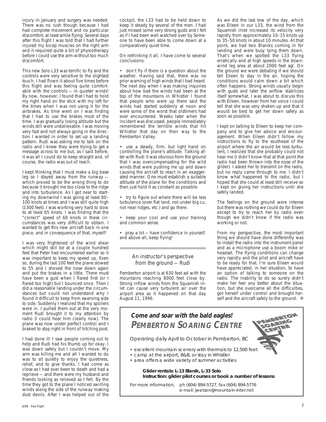injury in January and surgery was needed. There was no rush though because I had had complete movement and no particular discomfort, at least while flying. Several days after this flight I was told that I had further injured my bicep muscles on the right arm and it required quite a bit of physiotherapy before I could use the arm without too much discomfort.

This new Solo L33 was terrific to fly and the controls were very sensitive to the slightest touch. I had flown it about five times before this flight and was feeling quite comfortable with the controls — in quieter winds! By now, however, I found that I had to hold my right hand on the stick with my left for the times when I was not using it for the airbrakes. As time went on I was finding that I had to use the brakes most of the time. I was gradually losing altitude but the winds still were unbelievable. I was moving very fast and not always going in the direction I wanted in order to set up a landing pattern. Rudi was asking me to talk on the radio and I knew they were trying to get a message across to me but, as I said before, it was all I could do to keep straight and, of course, the radio was out of reach.

I kept thinking that I must make a big base leg so I stayed away from the runway which proved to be the wrong thing to do because it brought me too close to the ridge and into turbulence. As I got near to starting my downwind I was going at least 80– 100 knots at times and I was still quite high (1300 feet). I was working very hard to slow to at least 65 knots. I was finding that the "correct" speed of 60 knots in these circumstances was very difficult to obtain. I wanted to get this new aircraft back in one piece, and in consequence of that, myself!

I was very frightened of the wind shear which might still be at a couple hundred feet that Peter had encountered earlier so it was important to keep my speed up. Even so, during the last 100 feet the plane slowed to 55 and I shoved the nose down again and put the brakes in a little. There must have been a gust when I flared first (or I flared too high) but I bounced once. Then I did a reasonable landing under the circumstances but could not understand why I found it difficult to keep from swerving side to side. Suddenly I realized that my spoilers were in. I pulled them out at the very moment Rudi brought it to my attention by radio (I could hear him clearly now). The plane was now under perfect control and I braked to stop right in front of hitching post.

I had done it! I saw people coming out to help and Rudi had his thumb up for okay. I was down safely but I couldn't move. My arm was killing me and all I wanted to do was to sit quietly to enjoy the quietness, relief, and to give thanks. I had come as close as I had ever been to death and had a reprieve — and there were my husband and friends looking as relieved as I felt. By the time they got to the plane I noticed swirling winds along the side of the runway making dust devils. After I was helped out of the

cockpit, the L33 had to be held down to keep it steady by several of the men. I had just missed some very strong gusts and I felt as if I had been well watched over by Someone to have been able to come down at a comparatively quiet time.

On rethinking it all, I have come to several conclusions:

• don't fly if there is a question about the weather. Having said that, there was no prior warning of high winds that I had heard. The next day when I was making inquiries about how bad the winds had been at the top of the mountains in Whistler I found that people who were up there said the winds had started suddenly at noon and were some of the worst that oldtimers had ever encountered. Weeks later when the incident was discussed, people immediately remembered the terrible winds that hit Whistler that day on their way to the Pemberton Valley.

• use a steady, firm, but light hand on controlling the plane's attitude. Talking after with Rudi it was obvious from the ground that I was overcompensating for the wild winds that were pushing me up and down causing the aircraft to react in an exaggerated manner. One must establish a suitable attitude of the plane for the conditions and then just hold it as constant as possible.

• try to figure out where there will be less turbulence (over flat land, not under big cu, not near ridges, etc.) and go there.

• keep your cool and use your training and common sense.

• pray a lot - have confidence in yourself. and above all, keep flying!

#### An instructor's perspective from the ground — Rudi

Pemberton airport is at 630 feet asl with the mountains reaching 8000 feet close by. Strong inflow winds from the Squamish inlet can cause very turbulent air over the airport area as it happened on that day August 11, 1996.

As we did the last tow of the day, which was Eileen in our L33, the wind from the Squamish inlet increased its velocity very rapidly from approximately 10–15 knots up to 35–50 knots in about 10 minutes. At that point, we had two Blaniks coming in for landing and were busy tying them down. That's when we spotted the L33 flying erratically and at high speeds in the downwind leg area at about 2000 feet agl. On the ground we were debating if we should tell Eileen to stay in the air, hoping the conditions would calm down a bit which often happens. Strong winds usually begin with gusts and later the airflow stabilizes itself somewhat. I was about to discuss this with Eileen, however from her voice I could tell that she was very shaken up and that it would be best to get her down safely as soon as possible.

I kept on talking to Eileen to keep her company and to give her advice and encouragement. When Eileen didn't follow my instructions to fly to the southeast of the airport where the air would be less turbulent, I realized that she probably could not hear me (I didn't know that at that point the radio had been thrown into the nose of the glider). I asked her to transmit on the radio, but no reply came through to me. I didn't know what happened to the radio, but I hoped that she could at least still receive so I kept on giving her instructions until she safely landed.

The feelings on the ground were intense but there was nothing we could do for Eileen except to try to reach her by radio even though we didn't know if the radio was working or not.

From my perspective, the most important thing we should have done differently was to install the radio into the instrument panel and as a microphone use a boom mike or headset. The flying conditions can change very rapidly and the pilot and aircraft have to be ready for that. I'm sure Eileen would have appreciated, in her situation, to have an option of talking to someone on the radio. The inability to do so surely didn't make her feel any better about the situation, but she overcame all the difficulties, got herself under control and brought herself and the aircraft safely to the ground. ❖

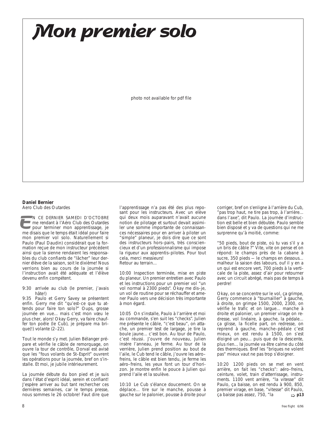**Mon premier solo**

photo not available for pdf file

#### **Daniel Bernier**

Aero Club des Outardes

N CE DERNIER SAMEDI D'OCTOBRE me rendant à l'Aéro Club des Outardes **pour terminer mon apprentissage, je** M CE DERNIER SAMEDI D'OCTOBRE<br>
me rendant à l'Aéro Club des Outardes<br>
pour terminer mon apprentissage, je<br>
me disais que le temps était idéal pour faire mon premier vol solo. Naturellement si Paulo (Paul Daudin) considérait que la formation reçue de mon instructeur précédent ainsi que la sienne rendaient les responsables du club confiants de "lâcher" leur dernier élève de la saison, soit le dixième! Nous verrions bien au cours de la journée si l'instruction avait été adéquate et l'élève devenu enfin compétent.

9:30 arrivée au club (le premier, j'avais hâte!)

9:35 Paulo et Gerry Savey se présentent enfin. Gerry me dit "qu'est–ce que tu attends pour faire ton solo?" Oups, grosse journée en vue... mais c'est mon vœu le plus cher, alors! Okay Gerry, va faire chauffer ton poêle (le Cub), je prépare ma brique(!) volante (2–22).

Tout le monde s'y met. Julien Bélanger prépare et vérifie le câble de remorquage, on ouvre la tour de contrôle, Dorval est avisé que les "fous volants de St–Esprit" ouvrent les opérations pour la journée, bref on s'installe. Et moi, je jubile intérieurement.

La journée débute du bon pied et je suis dans l'état d'esprit idéal, serein et confiant! J'espère arriver au but tant rechercher ces dernières semaines, car le temps presse, nous sommes le 26 octobre! Faut dire que

l'apprentissage n'a pas été des plus reposant pour les instructeurs. Avec un elève qui deux mois auparavant n'avait aucune notion de pilotage et surtout devait assimiler une somme importante de connaissances nécessaires pour en arriver à piloter un "simple" planeur, je dois dire que ce sont des instructeurs hors–pairs, très consciencieux et d'un professionnalisme qui impose la rigueur aux apprentis–pilotes. Pour tout cela, merci messieurs! Retour au terrain...

10:00 Inspection terminée, mise en piste du planeur. Un premier entretien avec Paulo et les instructions pour un premier vol "un vol normal à 2300 pieds". Okay me dis–je, un vol de routine pour se réchauffer et amener Paulo vers une décision très importante à mon égard.

10:05 On s'installe, Paulo à l'arrière et moi au commande, s'en suit les "checks". Julien me présente le câble, "c'est beau", on attache, un premier test de largage, je tire la boule jaune... c'est bon. Au tour de Paulo, c'est réussi. J'ouvre de nouveau, Julien insère l'anneau, je ferme. Au tour de la verrière, Julien prend position au bout de l'aile, le Cub tend le câble, j'ouvre les aéro– freins, le câble est bien tendu, je ferme les aéro–freins, les yeux font un tour d'horizon. Je montre enfin le pouce à Julien qui prend l'aile et la soulève.

10:10 Le Cub s'élance doucement. On se déplace... tire sur le manche, pousse à **gauche sur le palonier, pousse à droite pour**  $\downarrow$  ca baisse pas assez, 750, "la  $\downarrow$  **p13** 

corriger, bref on s'enligne à l'arrière du Cub, "pas trop haut, ne tire pas trop, à l'arrière... dans l'axe", dit Paulo. La journée d'instruction est belle et bien débutée. Paulo semble bien disposé et y va de questions qui ne me surprenne qu'à moitié, comme:

"50 pieds, bout de piste, où tu vas s'il y a un bris de câble ?" Vite, vite on pense et on répond: le champs près de la cabane à sucre, 350 pieds - le champs en dessous... malheur la saison des labours, ouf il y en a un qui est encore vert, 700 pieds à la verticale de la piste, assez d'air pour retourner avec un circuit abrégé, mais pas de temps à perdre!

Okay, on se concentre sur le vol, ça grimpe, Gerry commence à "tournailler" à gauche, à droite, on grimpe 1500, 2000, 2300, on vérifie le trafic et on largue... manche à droite et palonier, un premier virage on redresse, vol linéaire, à gauche, la pédale... ça glisse, la ficelle part, on redresse, on reprend à gauche, manche–pédale c'est mieux, on est rendu à 1500, on s'est éloigné un peu... puis que de la descente, plus rien... la journée va être calme du côté des thermiques. Bref les "briques ne volent pas" mieux vaut ne pas trop s'éloigner.

10:20 1200 pieds on se met en vent arrière, on fait les "checks": aéro–freins, ceinture, volet, train d'atterrissage, instruments. 1100 vent arrière, "la vitesse" dit Paulo, ça baisse, on est rendu à 900, 850, premier virage, en base, "vitesse" dit Paulo, ça baisse pas assez, 750, "la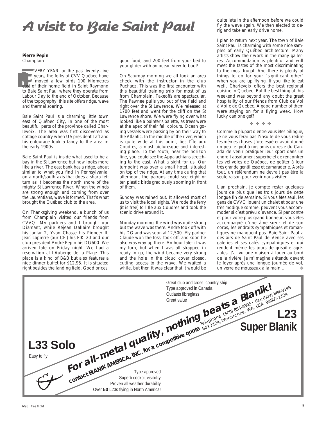# **A visit to Baie Saint Paul**

**Pierre Pepin** Champlain

**EXECUTE VEAR for the past twenty-five**<br>
years, the folks of CVV Québec have<br>
moved a few birds 100 kilometres<br>
east of their home field in Saint Raymond<br>
to Baie Saint Paul where they operate from VERY YEAR for the past twenty–five years, the folks of CVV Québec have moved a few birds 100 kilometres ist of their home field in Saint Raymond Labour Day to the end of October. Because of the topography, this site offers ridge, wave and thermal soaring.

Baie Saint Paul is a charming little town east of Québec City, in one of the most beautiful parts of the province called Charlevoix. The area was first discovered as cottage country when US president Taft and his entourage took a fancy to the area in the early 1900s.

Baie Saint Paul is inside what used to be a bay in the St Lawrence but now looks more like a river. The east bank has a ridge, about similar to what you find in Pennsylvania, on a north/south axis that does a sharp left turn as it becomes the north shore of the mighty St Lawrence River. When the winds are strong enough and coming from over the Laurentians, wave is formed. That's what brought the Québec club to the area.

On Thanksgiving weekend, a bunch of us from Champlain visited our friends from CVVQ. My partners and I brought our Diamant, while Réjean Dallaire brought his Jantar 2, Yvan Chasse his Pioneer II, Jean Lapierre (our CFI) his PIK–20 and our club president André Pepin his DG600. We arrived late on Friday night. We had a reservation at l'Auberge de la Plage. This place is a kind of B&B but also features a nice dinner buffet for \$12.95. It is situated right besides the landing field. Good prices,

good food, and 200 feet from your bed to your glider with an ocean view to boot!

On Saturday morning we all took an area check with the instructor in the club Puchacz. This was the first encounter with this beautiful training ship for most of us from Champlain. Takeoffs are spectacular. The Pawnee pulls you out of the field and right over the St Lawrence. We released at 1700 feet and went for the cliff on the St Lawrence shore. We were flying over what looked like a painter's palette, as trees were at the apex of their fall colours. Ocean going vessels were passing by on their way to the Atlantic. In the middle of the river, which is quite wide at this point, lies l'Île aux Coudres, a most picturesque and interesting place. To the south, near the horizon line, you could see the Appalachians stretching to the east. What a sight for us! Our turnpoint was over a small hotel, situated on top of the ridge. At any time during that afternoon, the patrons could see eight or ten plastic birds graciously zooming in front of them.

Sunday was rained out. It allowed most of us to visit the local sights. We rode the ferry (it is free) to l'Île aux Coudres and took the scenic drive around it.

Monday morning, the wind was quite strong but the wave was there. André took off with his DG and was soon at 12,500. My partner Claude won the toss, took off, and soon he also was way up there. An hour later it was my turn, but when I was all strapped in ready to go, the wind became very strong and the hole in the cloud cover closed, cutting access to the wave. We waited a while, but then it was clear that it would be

quite late in the afternoon before we could fly the wave again. We then elected to derig and take an early drive home.

I plan to return next year. The town of Baie Saint Paul is charming with some nice samples of early Québec architecture. Many artists show their work in the many galleries. Accommodation is plentiful and will meet the tastes of the most discriminating to the most frugal. And there is plenty of things to do for your "significant other" when you are up flying. If you like to eat well, Charlevoix offers the best regional cuisine in Québec. But the best thing of this weekend was beyond any doubt the great hospitality of our friends from Club de Vol à Voile de Québec. A good number of them were staying on for a flying week. How lucky can one get?

#### ✤ ✤ ✤ ✤

Comme la plupart d'entre vous êtes bilingue, je ne vous ferai pas l'insulte de vous redire les mêmes choses. J'ose espérer avoir donné un peu le goût à nos amis du reste du Canada de venir pratiquer leur sport dans un endroit absolument superbe et de rencontrer les vélivoles de Québec, de goûter à leur très grande gentillesse et camaraderie. Après tout, un référendum ne devrait pas être la seule raison pour venir nous visiter.

L'an prochain, je compte rester quelques jours de plus que les trois jours de cette longue fin de semaine. Si vous êtes seul, les gens de CVVQ louent un chalet et pour une très modique somme, peuvent vous accommoder si c'est prévu d'avance. Si par contre et pour votre plus grand bonheur, vous êtes accompagné d'une âme sœur et de son corps, les endroits sympathiques et romantiques ne manquent pas. Baie Saint Paul a des airs de Saint Paul de Vence avec ses galeries et ses cafés sympathiques et qui rendent même les jours de grisaille agréables. J'ai vu une maison à louer au bord de la rivière. Je m'imaginais étendu devant le foyer après une longue journée de vol, un verre de mousseux à la main ...  $\bullet$ 

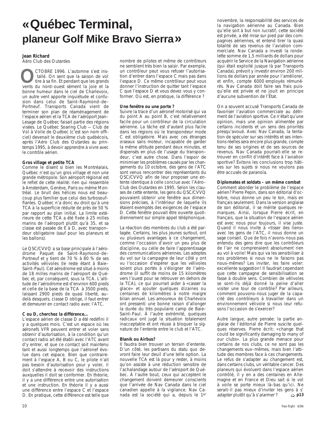# **«Québec Terminal, planeur Golf Mike Bravo Sierra»**

#### **Jean Richard**

Aéro Club des Outardes

CTOBRE 1996. L'automne s'est ins tallé. On sent que la saison de vol tire à sa fin. Et pendant que les grands CTOBRE 1996. L'automne s'est installé. On sent que la saison de voltire à sa fin. Et pendant que les grands vents du nord–ouest sèment la joie et la bonne humeur dans le ciel de Charlevoix, un autre vent apporte inquiétude et confusion dans celui de Saint–Raymond–de– Portneuf. Transports Canada vient de terminer son plan de réaménagement de l'espace aérien et la TCA de l'aéroport Jean– Lesage de Québec faisait partie des régions visées. Le Québec Soaring Club — Club de Vol à Voile de Québec (c'est son nom officiel) devenait le deuxième club québécois, après l'Aéro Club des Outardes au printemps 1995, à devoir apprendre à vivre avec le contrôle aérien.

#### **Gros village et petite TCA**

Comme le disent si bien les Montréalais, Québec n'est qu'un gros village et non une grande métropole. Son aéroport régional est le reflet de cette réalité: rien qui ressemble à Amsterdam, Genève, Paris ou même Montréal. Le bruit des hélices nous est beaucoup plus familier que celui des turbosouf– flantes. Québec n'a donc eu droit qu'à une TCA à la superficie réduite de près de 50 % par rapport au plan initial. La limite extérieure de cette TCA a été fixée à 25 milles marins de l'aéroport plutôt qu'à 35, et sa classe est passée de E à D, avec transpon– deur obligatoire (sauf pour les planeurs et les ballons).

Le QSC/CVVQ a sa base principale à l'aérodrome Paquet de Saint–Raymond–de– Portneuf et y tient de 70 % à 80 % de ses activités vélivoles (le reste étant à Baie– Saint–Paul). Cet aérodrome est situé à moins de 18 milles marins de l'aéroport de Québec et, par conséquent, sous la TCA. L'altitude de l'aérodrome est d'environ 600 pieds et celle de la base de la TCA à 3500 pieds, laissant 2900 pieds de quasi liberté, au– delà desquels, classe D oblige, il faut entrer et demeurer en contact radio avec l'ATC.

#### **C ou D, cherchez la différence…**

L'espace aérien de classe D a été redéfini il y a quelques mois. C'est un espace où les aéronefs VFR peuvent entrer et voler sans obtenir d'autorisation, à la condition qu'un contact radio ait été établi avec l'ATC avant d'y entrer, et que ce contact soit maintenu tant et aussi longtemps que l'aéronef évolue dans cet espace. Bien que contrairement à l'espace A, B ou C, le pilote n'ait pas besoin d'autorisation pour y voler, il doit s'attendre à recevoir des instructions auxquelles il doit se conformer. En théorie, il y a une différence entre une autorisation et une instruction. En théorie il y a aussi une différence entre l'espace C et l'espace D. En pratique, cette différence est telle que nombre de pilotes et même de contrôleurs ne semblent très bien la saisir. Par exemple, un contrôleur peut vous refuser l'autorisation d'entrer dans l'espace C mais pas dans l'espace D. Ce même contrôleur peut vous donner l'instruction de quitter tant l'espace C que l'espace D et vous devez vous y conformer. Où est, en pratique, la différence ?

#### **Une fenêtre ou une porte ?**

Suivre la trace d'un aéronef motorisé qui va du point A au point B, c'est relativement facile pour un contrôleur de la circulation aérienne. La tâche est d'autant plus facile dans les régions où le transpondeur mode C est obligatoire. Mais avec ces étranges oiseaux sans moteur, incapable de garder la même altitude pendant deux minutes, et dispensés en plus de l'usage du transpon– deur, c'est autre chose. Dans l'espoir de minimiser les problèmes causés par les changements du 10 octobre, des gens de l'ATC sont venus rencontrer des représentants du QSC/CVVQ afin de leur proposer une entente identique à celle conclue avec l'Aéro– Club des Outardes en 1995. Selon les clauses de cette entente, les gens du QSC/CVVQ pouvaient obtenir une fenêtre aux dimensions précises, à l'intérieur de laquelle ils étaient exemptés des exigences de l'espace D. Cette fenêtre pouvait être ouverte quotidiennement sur simple appel téléphonique.

La réaction des membres du club a été partagée. Certains, les plus jeunes surtout, ont vu plusieurs avantages à ce changement, comme l'occasion d'avoir un peu plus de discipline, ou celle de faire l'apprentissage des communications aériennes. Les adeptes du vol sur la campagne de leur côté y ont vu l'occasion d'espérer que les vélivoles soient plus portés à s'éloigner de l'aérodrome (il suffit de moins de 15 kilomètres vers l'ouest pour se retrouver en dehors de la TCA), ce qui pourrait aider à «casser la glace» et ajouter quelques dizaines ou centaines de kilomètres à notre maigre bilan annuel. Les amoureux de Charlevoix ont pressenti une bonne raison d'allonger la durée du très populaire camp de Baie– Saint–Paul. À l'autre extrémité, quelques radicaux ont jugé la situation totalement inacceptable et ont réussi à bloquer la signature de l'entente entre le club et l'ATC.

#### **Blaník ou Airbus?**

Il faudra bien trouver un terrain d'entente. D'un côté, les partisans du statu quo devront faire leur deuil d'une telle option. La nouvelle TCA est là pour y rester, à moins qu'on assiste à une réduction sensible de l'achalandage autour de l'aéroport de Québec. À l'autre bout, ceux qui acceptent le changement doivent demeurer conscients que l'arrivée de Nav Canada dans le ciel canadien appelle à la vigilance. Nav Canada est la société qui a, depuis le 1er

novembre, la responsabilité des services de la navigation aérienne au Canada. Bien qu'elle soit à but non lucratif, cette société est privée, a été mise sur pied par des compagnies aériennes, et entend tirer la quasi totalité de ses revenus de l'aviation commerciale. Nav Canada a investi la rondelette somme de 1,5 milliards de dollars pour acquérir le Service de la Navigation aérienne (qui était exploité jusque là par Transports Canada), prévoit y investir environ 200 millions de dollars par année pour l'améliorer, et enfin, compte 6000 employés rémunérés. Nav Canada doit faire ses frais puisqu'elle est privée et ne jouit en principe d'aucune subvention de l'État.

On a souvent accusé Transports Canada de favoriser l'aviation commerciale au détriment de l'aviation sportive. Ce n'était qu'une opinion, mais une opinion alimentée par certains incidents et un sens des priorités presqu'avoué. Avec Nav Canada, la tentation de spéculer sur ses intérêts et ses intentions réelles sera encore plus grande, compte tenu de ses origines et de ses sources de revenus. Nav Canada pourrait–elle se retrouver en conflit d'intérêt face à l'aviation sportive? Évitons les conclusions trop hâtives sur les sujets si nous ne voulons pas être accusés de paranoïa.

#### **Diplomates et soldats – un même combat**

Comment aborder le problème de l'espace aérien? Pierre Pepin, dans son éditorial d'octobre, nous donne un peu le ton, mais en français seulement. Dans la version anglaise de son éditorial, il se mérite quelques remarques. Ainsi, lorsque Pierre écrit, en français, que la situation de l'espace aérien est avec nous pour toujours, il vise juste. Quand il nous invite à «tisser des liens» avec les gens de l'ATC, il nous donne un sage conseil. Que de fois n'avons–nous pas entendu des gens dire que les contrôleurs de l'air ne comprenaient absolument rien au vol à voile! Mais qui va les sensibiliser à nos problèmes si nous ne le faisons pas nous–mêmes? Les inviter, les faire voler: excellente suggestion! Il faudrait cependant que cette campagne de sensibilisation se fasse à double sens. Combien de vélivoles se sont–ils déjà donné la peine d'aller visiter une tour de contrôle? Par ailleurs, comment pouvons–nous juger de la capacité des contrôleurs à travailler dans un environnement vélivole si nous leur refusons l'occasion de s'exercer?

➯ **p13** Autre langue, autre pensée: la partie anglaise de l'éditorial de Pierre suscite quelques réserves. Pierre écrit: «change that could be significantly damaging to many of our clubs». La plus grande menace pour certains de nos clubs, ce ne sont pas les changements eux–mêmes, mais bien l'attitude des membres face à ces changements. Le refus de s'adapter au changement est, dans certains clubs, un véritable cancer. Des planeurs qui évoluent dans l'espace aérien contrôlé, il y en a des centaines en Allemagne et en France et Dieu sait si le vol à voile se porte mieux là–bas qu'ici. Ne serait–il pas mieux d'inviter les gens à s' adapter plutôt qu'à s'alarmer?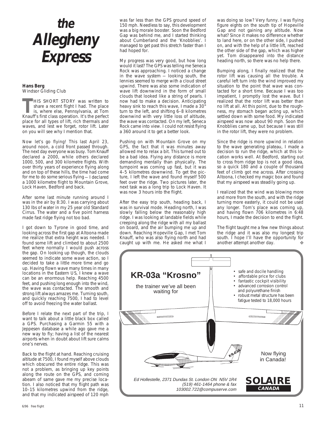# **the Allegheny Express**

#### **Hans Berg** Windsor Gliding Club

**THIS SHORT STORY was written to**<br>share a recent flight I had. The place<br>is, where else, Pennsylvania, at Tom<br>Knauff's first class operation. It's the perfect share a recent flight I had. The place Knauff's first class operation. It's the perfect place for all types of lift, rich thermals and waves, and lest we forget, rotor lift. Later on you will see why I mention that.

Now let's go flying! This last April 23, around noon, a cold front passed through. The next day everyone was busy. Tom Knauff declared a 2000, while others declared 1000, 500, and 300 kilometre flights. With over thirty years of experience flying along and on top of these hills, the time had come for me to do some serious flying — I declared a 1000 kilometre flight to Mountain Grove, Lock Haven, Bedford and back.

After some last minute running around I was in the air by 8:30. I was carrying about 130 lbs of water in my 25 year old Standard Cirrus. The water and a five point harness made fast ridge flying not too bad.

I got down to Tyrone in good time, and looking across the first gap at Altoona made me realize that extra height was needed. I found some lift and climbed to about 2500 feet where normally I would push across the gap. On looking up though, the clouds seemed to indicate some wave action, so I decided to take a little more time and go up. Having flown wave many times in many locations in the Eastern US, I knew a wave can be an enormous help. Reaching 4500 feet, and pushing long enough into the wind, the wave was contacted. The smooth and strong lift always amazes me. Turning south, and quickly reaching 7500, I had to level off to avoid freezing the water ballast.

Before I relate the next part of the trip, I want to talk about a little black box called a GPS. Purchasing a Garmin 55 with a Jeppesen database a while ago gave me a new way to fly; having a list of the nearest airports when in doubt about lift sure calms one's nerves.

Back to the flight at hand. Reaching cruising altitude at 7500, I found myself above clouds which obscured the entire ridge. This was not a problem, as bringing up key points along the route on the GPS, and coming abeam of same gave me my precise location. I also noticed that my flight path was 10–15 kilometres upwind from the ridge, and that my indicated airspeed of 120 mph

was far less than the GPS ground speed of 150 mph. Needless to say, this development was a big morale booster. Soon the Bedford Gap was behind me, and I started thinking about Cumberland and the 'Knobblies'. I managed to get past this stretch faster than I had hoped for.

My progress was very good, but how long would it last? The GPS was telling me Seneca Rock was approaching. I noticed a change in the wave system — looking south, the lennies seemed to merge with a cloud street upwind. There was also some indication of wave lift downwind in the form of small clouds that looked like a string of pearls. I now had to make a decision. Anticipating heavy sink to reach this wave, I made a 30° turn to the left, and shifting 6–8 kilometres downwind with very little loss of altitude, the wave was contacted. On my left, Seneca Rock came into view. I could not resist flying a 360 around it to get a better look.

Pushing on with Mountain Grove on my GPS, the fact that it was minutes away allowed me to relax a bit. This turned out to be a bad idea. Flying any distance is more demanding mentally than physically. The turnpoint was coming up fast, but it was 4–5 kilometres downwind. To get the picture, I left the wave and found myself 500 feet over the ridge. Two pictures later, the next task was a long trip to Lock Haven. It was now 3 hours into the flight.

After the easy trip south, heading back, I was in survival mode. Heading north, I was slowly falling below the reasonably high ridge. I was looking at landable fields while creeping along the ridge with all my ballast on board, and the air bumping me up and down. Reaching Hopeville Gap, I met Tom Knauff, who was also flying north and had caught up with me. He asked me what I

was doing so low? Very funny. I was flying figure eights on the south tip of Hopeville Gap and not gaining any altitude. Now what? Since it makes no difference whether to land here, or on the other side, I pushed on, and with the help of a little lift, reached the other side of the gap, which was higher yet. Tom disappeared into the distance heading north, so there was no help there.

Bumping along, I finally realized that the rotor lift was causing all the trouble. A careful left turn into the wind improved my situation to the point that wave was contacted for a short time. Because I was too impatient, I promptly lost the wave. But I realized that the rotor lift was better than no lift at all. At this point, due to the roughness, my stomach began acting up, which settled down with some food. My indicated airspeed was now about 90 mph. Soon the Knobblies came up, but because I was still in the rotor lift, they were no problem.

Since the ridge is more upwind in relation to the wave generating plateau, I made a decision to run the ridge, which at this location works well. At Bedford, starting out to cross from ridge top is not a good idea, so a quick 180 and a couple of thousand feet of climb got me across. After crossing Altoona, I checked my magic box and found that my airspeed was steadily going up.

I realized that the wind was blowing more and more from the south, and with the ridge turning more easterly, it could not be used any longer. Tom's place was coming up, and having flown 706 kilometres in 6:48 hours, I made the decision to end the flight.

The flight taught me a few new things about the ridge and it was also my longest trip south. I hope I'll have the opportunity for another attempt another day.

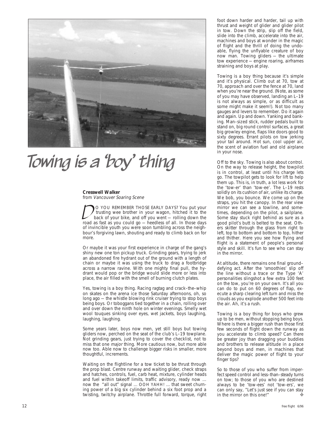

# Towing is a 'boy' thing

#### **Cresswell Walker**

from Vancouver Soaring Scene

 O YOU REMEMBER THOSE EARLY DAYS? You put your trusting wee brother in your wagon, hitched it to the back of your bike, and off you went — rolling down the road as fast as you could go — heedless of all. In those days of invincible youth you were soon tumbling across the neighbour's forgiving lawn, shouting and ready to climb back on for more.  $D_{\!\scriptscriptstyle 1}$ 

Or maybe it was your first experience in charge of the gang's shiny new one ton pickup truck. Grinding gears, trying to jerk an abandoned fire hydrant out of the ground with a length of chain or maybe it was using the truck to drag a footbridge across a narrow ravine. With one mighty final pull, the hydrant would pop or the bridge would slide more or less into place, the air filled with the smell of burning clutch plates.

Yes, towing is a boy thing. Racing ragtag and crack–the–whip on skates on the arena ice those Saturday afternoons, oh, so long ago — the whistle blowing rink cruiser trying to stop boys being boys. Or toboggans tied together in a chain, rolling over and over down the ninth hole on winter evenings. Smelly wet wool touques sinking over eyes, wet jackets, boys laughing, laughing, laughing.

Some years later, boys now men, yet still boys but towing gliders now, perched on the seat of the club's L–19 towplane. Not grinding gears, just trying to cover the checklist, not to miss that one *major* thing. More cautious now, but more able now too. Able now to challenge bigger risks in smaller, more thoughtful, increments.

Waiting on the flightline for a tow ticket to be thrust through the prop blast. Centre runway and waiting glider, check straps and hatches, controls, fuel, carb heat, mixture, cylinder heads and fuel within takeoff limits, traffic advisory, ready now ... now the "all out" signal ... OOH YAHH! ... that sweet churning power of a big six cylinder behind a six foot prop and a twisting, twitchy airplane. Throttle full forward, torque, right

foot down harder and harder, tail up with thrust and weight of glider and glider pilot in tow. Down the strip, slip off the field, slide into the climb, accelerate into the air, machines and boys at wonder in the magic of flight and the thrill of doing the undoable, flying the unflyable creature of boy now man. Towing gliders — the ultimate tow experience — engine roaring, airframes straining and boys at play.

Towing is a boy thing because it's simple and it's physical. Climb out at 70, tow at 70, approach and over the fence at 70, land when you're near the ground. (Note, as some of you may have observed, landing an L–19 is not always as simple, or as difficult as some might make it seem!). Not too many gauges and levers to remember. Do it again and again. Up and down. Yanking and banking. Man–sized stick, rudder pedals built to stand on, big round control surfaces, a great big growley engine, flaps like doors good to sixty degrees. Errant pilots on tow jerking your tail around. Hot sun, cool upper air, the scent of aviation fuel and old airplane in your nose.

Off to the sky. Towing is also about control. On the way to release height, the towpilot is in control, at least until his charge lets go. The towpilot gets to look for lift to help them up. This is, in truth, a lot less work for the 'tow-er' than 'tow-ee'. The L–19 rests solidly on its cushion of air, unlike its charge. We bob, you bounce. We come up on the straps, you hit the canopy. In the rear view mirror we can see a towline, and sometimes, depending on the pilot, a sailplane. Some stay stuck right behind as sure as a good pilot's butt is belted to the seat. Others skitter through the glass from right to left, top to bottom and bottom to top, hither and thither. Here you see how flying and flight is a statement of people's personal style and skill. It's fun to see who can stay in the mirror.

At altitude, there remains one final ground– defying act. After the 'smoothies' slip off the line without a trace or the Type 'A' personalities slingshot a few extra 100 feet on the tow, you're on your own. It's all you can do to put on 60 degrees of flap, execute a sharp clearing left turn and miss the clouds as you explode another 500 feet into the air. Ah, it's a rush.

Towing is a boy thing for boys who grew up to be men, without stopping being boys. Where is there a bigger rush than those first few seconds of flight down the runway as you accelerate to climb speed? Can there be greater joy than dragging your buddies and brothers to release altitude in a place beyond boys and men, in machines that deliver the magic power of flight to your finger tips?

So to those of you who suffer from imperfect speed control and less–than–steady turns on tow; to those of you who are destined always to be 'tow-ees' not 'tow-ers', we can only say, "Let's just see if you can stay in the mirror on this one!"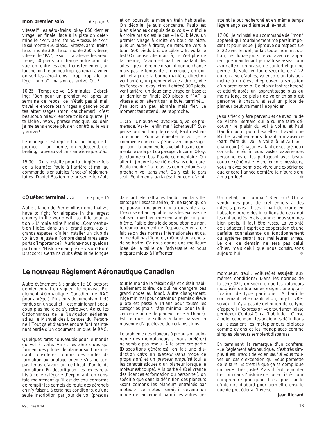#### **mon premier solo** de page 8

vitesse!", les aéro–freins, okay 650 dernier virage, en finale, face à la piste on détermine le "PA", aéro–freins, vitesse, le "PA", le sol monte 450 pieds... vitesse, aéro–freins, le sol monte 300, le sol monte 250, vitesse, vitesse, le "PA", le sol — la vitesse, les aréo– freins, 50 pieds, on change notre point de vue, on rentre les aéro–freins lentement, on touche, on tire un peu trop, ça repart à voler, on sort les aéro–freins... trop, trop vite, un léger "bump", mais on est arrivé. OUF....

10:25 Temps de vol 15 minutes. Debrefing: "Bon pour un premier vol après un semaine de repos, ce n'était pas si mal, travaille encore tes virages à gauche pour tes atterrissages (mon cauchemar), c'est beaucoup mieux, encore trois ou quatre, je te lâche". Wow, phrase magique...soudain je me sens encore plus en contrôle, je vais y arriver!

Le manège s'est répété tout au long de la journée — on monte, on redescend, debrefing, nouveau vol on s'améliore jusqu'à...

15:30 On s'installe pour la cinqième fois de la journée: Paulo à l'arrière et moi au commande, s'en suit les "checks" réglementaires. Daniel Bastien me présente le câble

#### **«Québec terminal ...»** de page 10

Autre citation de Pierre: «It is ironic that we have to fight for airspace in the largest country in the world with so little population!» L'ironie attire l'ironie: «Comment a– t–on l'idée, dans un si grand pays, aux si grands espaces, d'aller installer un club de vol à voile juste à l'ombre des si rares aéroports d'importance?» Aurions–nous quelque part dans l'Histoire manqué de vision? Bon! D'accord! Certains clubs établis de longue

et on poursuit la mise en train habituelle. On décolle, je suis concentré, Paulo est bien silencieux depuis deux vols — difficile à croire mais c'est le cas — le Cub lève, un premier virage à droite en bout de piste, puis un autre à droite, on retourne vers la tour. 500 pieds bris de câble... Et voilà le test! On pense vite, mais là, ce n'est plus de la théorie, l'avion est parti en battant des ailes... peut–être me disait–il bonne chance mais pas le temps de s'interroger, on doit agir et agir de la bonne manière, direction vent arrière, un premier virage à droite, vite les "checks", okay, circuit abrégé 300 pieds, vent arrière, un deuxième virage en base et un dernier en finale 200 pieds le "PA", la vitesse et on atterrit sur la bute, terminé...! J'en sort un peu ébranlé mais fier. Le moment tant attendu se rapproche.

16:15 Un autre vol avec Paulo, vol de promenade. Va–t–il enfin me "lâcher seul?" Suspense tout au long de ce vol; Paulo est encore muet. Pour agrémenter le vol, je le commente comme si j'étais avec un passager qui pour la première fois volait. Pas de commentaire de la part du passager. Bizarre! Okay, je retourne en bas. Pas de commentaire. On atterrit, j'ouvre la verrière et sans crier gare, Paulo me dit: "tu feras tes commentaires au prochain vol sans moi. Ça y est, je pars seul. Sentiments partagés; heureux d'avoir

date ont été rattrapés tantôt par la ville, tantôt par l'espace aérien, d'une façon qu'on ne pouvait imaginer il y a quarante ans. L'excuse est acceptable mais les excuses ne suffisent que bien rarement à régler un problème. Faible densité de population ou non, le réaménagement de l'espace aérien a été fait selon des normes internationales et ça, on ne doit pas l'ignorer, même si on a choisi de se battre. Ça nous donne une meilleure idée de la taille de l'adversaire et nous prépare mieux à l'affronter.

atteint le but recherché et en même temps légère angoisse d'être seul là–haut!

17:00 Je m'installe au commande de "mon" appareil qui soudainement me paraît imposant et pour lequel j'éprouve du respect. Ce 2–22 avec lequel j'ai fait toute mon instruction, ces douze jours de vol avec cet appareil que maintenant je maîtrise assez pour avoir atteint un niveau de confort et qui me permet de voler en toute sécurité, ce 2–22 qui en a vu d'autres, va encore un fois permettre à un élève d'éprouver la sensation d'un premier solo. Ce plaisir tant recherché et atteint après un apprentissage plus ou moins long, ce plaisir de voler en solo est personnel à chacun, et seul un pilote de planeur peut vraiment l'apprécier.

Je suis fier d'y être parvenu et ce avec l'aide de Michel Bernard qui a su me faire découvrir le plaisir du vol à voile, et Paul Daudin pour polir l'excellent travail que Michel avait entrepris durant son absence (parti faire du vol à voile à St–Auban... chanceux!). Chacun y allant de ses précieux conseils reliés à leurs vastes expériences personnelles et les partageant avec beaucoup de générosité. Merci encore messieurs, vous m'avez permis de vivre une expérience que encore l'année dernière je n'aurais cru à ma portée! ❖

Un débat, un combat? Bien sûr! On a vendu des pans de ciel entiers à des intérêts privés. Il serait naïf de croire en l'absolue pureté des intentions de ceux qui les ont achetés. Mais comme nous sommes bien petits, il faut être rusés. La volonté de s'adapter, l'esprit de coopération et une parfaite connaissance du fonctionnement du système seront nos meilleures armes. Le ciel de demain ne sera pas celui d'hier, mais celui que nous construisons aujourd'hui.

# **Le nouveau Règlement Aéronautique Canadien**

Autre événement à signaler: le 10 octobre dernier entrait en vigueur le nouveau Règlement Aéronautique Canadien (le RAC pour abréger). Plusieurs documents ont été fondus en un seul et il est maintenant beaucoup plus facile de s'y retrouver. Adieu les Ordonnances de la Navigation aérienne, adieu le Manuel des Licences du Personnel! Tout ça et d'autres encore font maintenant partie d'un document unique: le RAC.

Quelques rares nouveautés pour le monde du vol à voile. Ainsi, les aéro–clubs qui forment des pilotes de planeur sont maintenant considérés comme des unités de formation au pilotage (même s'ils ne sont pas tenus d'avoir un certificat d'unité de formation). En décortiquant les textes relatifs à cette catégorie d'exploitant, on constate maintenant qu'il est devenu conforme de remplir les carnets de route des aéronefs en n'y faisant, à certaines conditions, qu'une seule inscription par jour de vol (presque tout le monde le faisait déjà et c'était habituellement toléré, ce qui ne changera pas grand chose au fond). Autre changement: l'âge minimal pour obtenir un permis d'élève pilote est passé à 14 ans pour toutes les catégories (mais l'âge minimal pour la licence de pilote de planeur reste à 16 ans). Est–ce que ça suffira à faire baisser la moyenne d'âge élevée de certains clubs…

Le problème des planeurs à propulsion autonome (les motoplaneurs si vous préférez) ne semble pas résolu. À la première partie (Dispositions générales), on fait une distinction entre un planeur (sans mode de propulsion) et un planeur propulsé (qui a les caractéristiques d'un planeur lorsque le moteur est coupé). À la partie 4 (Délivrance des licences et formation du personnel), on spécifie que dans la définition des planeurs «sont compris les planeurs entraînés par moteur». Le moteur serait–il devenu un mode de lancement parmi les autres (re-

morqueur, treuil, voiture) et assujetti aux mêmes conditions? Dans les normes de la série 421, on spécifie que les «planeurs motorisés de tourisme» exigent une qualification de type particulier. À l'article concernant cette qualification, on y lit: «Réservé». Il n'y a pas de définition de ce type d'appareil (l'expression «de tourisme» laisse perplexe). Confus? On a l'habitude… Chose à noter cependant: les anciennes définitions qui classaient les motoplaneurs biplaces comme avions et les monoplaces comme simples planeurs semblent disparues.

En terminant, la remarque d'un confrère: «Le Règlement aéronautique, c'est très simple. Il est interdit de voler, sauf si vous trouvez un cas d'exception qui vous permette de le faire. Et c'est là que ça se complique un peu». Très juste! Mais il faut remonter très loin dans l'histoire de nos sociétés pour comprendre pourquoi il est plus facile d'interdire d'abord pour permettre ensuite que de procéder à l'inverse.

**Jean Richard**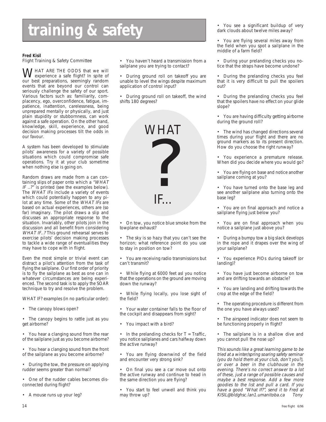# **training & safety** *i*  $\frac{1}{2}$  **i**  $\frac{1}{2}$  **of**  $\frac{1}{2}$  **a**  $\frac{1}{2}$  **i**  $\frac{1}{2}$  dark clouds about twelve miles away?

#### **Fred Kisil**

Flight Training & Safety Committee

WHAT ARE THE ODDS that we will<br>experience a safe flight? In spite of<br>our bost preparations, seemingly random our best preparations, seemingly random events that are beyond our control can seriously challenge the safety of our sport. Various factors such as: familiarity, complacency, ego, overconfidence, fatigue, impatience, inattention, carelessness, being unprepared mentally or physically, and just plain stupidity or stubbornness, can work against a safe operation. On the other hand, knowledge, skill, experience, and good decision making processes tilt the odds in our favour.

A system has been developed to stimulate pilots' awareness for a variety of possible situations which could compromise safe operations. Try it at your club sometime when nothing else is going on.

Random draws are made from a can containing slips of paper onto which a "WHAT IF ..?" is printed (see the examples below). The WHAT IFs include a variety of events which could potentially happen to any pilot at any time. Some of the WHAT IFs are based on actual experiences, others are (so far) imaginary. The pilot draws a slip and discusses an appropriate response to the situation. Invariably, other pilots join in the discussion and all benefit from considering WHAT IF..? This ground rehearsal serves to exercise pilots' decision making processes to tackle a wide range of eventualities they may have to cope with in flight.

Even the most simple or trivial event can distract a pilot's attention from the task of flying the sailplane. Our first order of priority is to fly the sailplane as best as one can in whatever circumstances are being experienced. The second task is to apply the SOAR technique to try and resolve the problem.

WHAT IF? examples (in no particular order):

• The canopy blows open?

• The canopy begins to rattle just as you get airborne?

• You hear a clanging sound from the rear of the sailplane just as you become airborne?

• You hear a clanging sound from the front of the sailplane as you become airborne?

• During the tow, the pressure on applying rudder seems greater than normal?

• One of the rudder cables becomes disconnected during flight?

• A mouse runs up your leg?

• You haven't heard a transmission from a sailplane you are trying to contact?

• During ground roll on takeoff you are unable to level the wings despite maximum application of control input?

• During ground roll on takeoff, the wind shifts 180 degrees?



• On tow, you notice blue smoke from the towplane exhaust?

• The sky is so hazy that you can't see the horizon; what reference point do you use to stay in position on tow?

• You are receiving radio transmissions but can't transmit?

• While flying at 6000 feet asl you notice that the operations on the ground are moving down the runway?

• While flying locally, you lose sight of the field?

• Your water container falls to the floor of the cockpit and disappears from sight?

• You impact with a bird?

• In the prelanding checks for  $T = \text{Traffic}$ , you notice sailplanes and cars halfway down the active runway?

• You are flying downwind of the field and encounter very strong sink?

• On final you see a car move out onto the active runway and continue to head in the same direction you are flying?

• You start to feel unwell and think you may throw up?

dark clouds about twelve miles away?

• You are flying several miles away from the field when you spot a sailplane in the middle of a farm field?

• During your prelanding checks you notice that the straps have become undone?

• During the prelanding checks you feel that it is very difficult to pull the spoilers out?

• During the prelanding checks you feel that the spoilers have no effect on your glide slope?

• You are having difficulty getting airborne during the ground roll?

• The wind has changed directions several times during your flight and there are no ground markers as to its present direction. How do you choose the right runway?

• You experience a premature release. When did you decide where you would go?

• You are flying on base and notice another sailplane coming at you?

• You have turned onto the base leg and see another sailplane also turning onto the base leg?

• You are on final approach and notice a sailplane flying just below you?

• You are on final approach when you notice a sailplane just above you?

• During a bumpy tow a big slack develops in the rope and it drapes over the wing of your sailplane?

• You experience PIOs during takeoff (or landing)?

• You have just become airborne on tow and are drifting towards an obstacle?

• You are landing and drifting towards the crop at the edge of the field?

• The operating procedure is different from the one you have always used?

• The airspeed indicator does not seem to be functioning properly in flight?

• The sailplane is in a shallow dive and you cannot pull the nose up?

This sounds like a great learning game to be tried at a winter/spring soaring safety seminar (you do hold them at your club, don't you?), or over a beer in the clubhouse in the evening. There's no correct answer to a lot of these, just a range of possible causes and maybe a best response. Add a few more goodies to the list and pull a card. If you have a good "What If?", send it to Fred at KISIL@bldghsc.lan1.umanitoba.ca Tony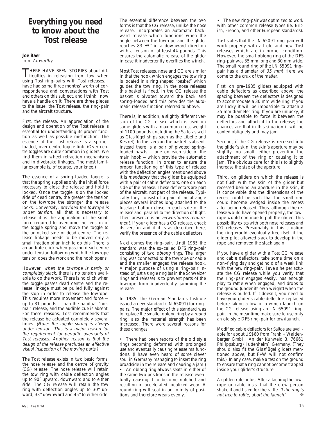# **Everything you need to know about the Tost release**

#### **Joe Baer** from Airworthy

THERE HAVE BEEN STORIES about dif-<br>ficulties in releasing from tow when<br>using Test ring poirs with Test releases using Tost ring–pairs with Tost releases. I have had some three months' worth of correspondence and conversations with Tost and others on this subject, and I think I now have a handle on it. There are three pieces to the issue: the Tost release, the ring–pair and the aircraft structure.

First, the release. An appreciation of the design and operation of the Tost release is essential for understanding its proper function as well as possible misfunction. The essence of the Tost release is a spring– loaded, over centre toggle link. (Over centre toggles are quite common in gliders. We find them in wheel retraction mechanisms and in divebrake linkages. The most familiar example is, of course, your knee.)

The essence of a spring–loaded toggle is that the spring supplies only the initial force necessary to close the release and hold it locked. Once the toggle is on the locked side of dead centre, the greater the tension on the towrope the stronger the release locks. Conversely, provided the towrope is under tension, all that is necessary to release it is the application of the small force required to overcome the tension of the toggle spring and move the toggle to the unlocked side of dead centre. The release linkage needs to be moved only a small fraction of an inch to do this. There is an audible click when passing dead centre under tension following which the towrope tension does the work and the hook opens.

However, when the towrope is partly or completely slack, there is no tension available to do the work. There is no click when the toggle passes dead centre and the release linkage must be pulled fully against the stop in order to release the towrope. This requires more movement and force up to 31 pounds — than the habitual "normal" release, and the audible cue is absent. For these reasons, Tost recommends that the release be actuated completely several times. (Note: the toggle spring is always under tension. This is a major reason for the requirement for periodic overhauls of Tost releases. Another reason is that the design of the release precludes an effective visual inspection of the moving parts.)

The Tost release exists in two basic forms: the nose release and the centre of gravity (CG) release. The nose release will retain the tow ring with cable deflection angles up to 90° upward, downward and to either side. The CG release will retain the tow ring with deflection angles up to 30° upward, 33° downward and 45° to either side.

The essential difference between the two forms is that the CG release, unlike the nose release, incorporates an automatic backward release which functions when the angle between the towrope and the glider reaches 83°±7° in a downward direction with a tension of at least 44 pounds. This ensures the automatic release of the glider in case it inadvertently overflies the winch.

Most Tost releases, nose and CG are similar in that the hook which engages the tow ring is located in a ring shaped "basket" which guides the tow ring. In the nose releases this basket is fixed. In the CG release the basket is pivoted toward the back and spring–loaded and this provides the automatic release function referred to above.

There is, in addition, a slightly different version of the CG release which is used on some gliders with a maximum gross weight of 1100 pounds (including the Salto as well as Glasflügel ships such as the Libelle and Kestrel). In this version the basket is absent. Instead there is a pair of pivoted spring– loaded pawls — one on each side of the main hook — which provide the automatic release function. In order to ensure the proper functioning of this type of release with the deflection angles mentioned above it is mandatory that the glider be equipped with a pair of cable deflectors, one on each side of the release. These deflectors are part of the aircraft, not part of the release. Typically they consist of a pair of metal angle pieces several inches long attached to the fuselage bottom close to each side of the release and parallel to the direction of flight. Their presence is an airworthiness requirement. If your glider has a CG release, check its version and if it is as described here, verify the presence of the cable deflectors.

Next comes the ring–pair. Until 1985 the standard was the so–called DFS ring–pair consisting of two oblong rings. The larger ring was connected to the towrope or cable and the smaller engaged the release hook. A major purpose of using a ring–pair instead of just a single ring (as in the Schweizer rings and release) is to prevent parts of the towrope from inadvertently jamming the release.

In 1985, the German Standards Institute issued a new standard (LN 65091) for ring– pairs. The major effect of this standard was to replace the smaller oblong ring by a round ring; also the material strength has been increased. There were several reasons for these changes:

• There had been reports of the old style rings becoming deformed with prolonged use and eventually causing release malfunctions. (I have even heard of some clever soul in Germany managing to insert the ring broadside in the release and causing a jam.) • An oblong ring always seats in either of the same two positions in the release eventually causing it to become notched and resulting in accelerated localized wear. A round ring will seat in an infinity of positions and therefore wears evenly.

• The new ring–pair was optimized to work with other common release types (ie. British, French, and other European standards).

Tost states that the LN 65091 ring–pair will work properly with all old and new Tost releases which are in proper condition. However, the small oblong ring of the DFS ring–pair was 35 mm long and 30 mm wide. The small round ring of the LN 65091 ring– pair has a diameter of 35 mm! Here we come to the crux of the matter.

First, on pre–1985 gliders equipped with cable deflectors as described above, the spacing between the deflectors is designed to accommodate a 30 mm wide ring. If you are lucky it will be impossible to attach a 35 mm diameter ring. If you are unlucky, it may be possible to force it between the deflectors and attach it to the release; the chances are that in this situation it will be canted obliquely and may jam.

Second, if the CG release is recessed into the glider's skin, the skin's aperture may be slightly too small, either preventing the attachment of the ring or causing it to jam. The obvious cure for this is to slightly increase the size of the aperture.

Third, on gliders on which the release is not flush with the skin of the glider but recessed behind an aperture in the skin, it is conceivable that the dimensions of the recess could be such that the small ring could become wedged inside the recess after being released. Thus, although the release would have opened properly, the towrope would continue to pull the glider. This possibility exists with both nose releases and CG releases. Presumably in this situation the ring would eventually free itself if the glider pilot allowed slack to develop in the rope and removed the slack again.

If you have a glider with a Tost CG release and cable deflectors, take some time on a non–flying day and get hold of a weak link with the new ring–pair. Have a helper actuate the CG release while you verify that the ring–pair engages easily, has enough play to rattle when engaged, and drops to the ground (under its own weight) when the release is pulled. If it doesn't, you need to have your glider's cable deflectors replaced before taking a tow or a winch launch on the CG release using an LN 65091 ring– pair. In the meantime make sure to use only an old style DFS ring–pair for tow/launch.

Modified cable deflectors for Saltos are available for about US\$60 from Frank + Waldenberger GmbH, An der Kuhweid 3, 76661 Philippsburg (Huttenheim), Germany. (They should also fit the Glasflügel gliders mentioned above, but F+W will not confirm this.) In any case, make a test on the ground to ensure that a ring cannot become trapped inside your glider's structure.

A golden rule holds. After attaching the towrope or cable insist that the crew person shake it and listen for the rattle. If the ring is not free to rattle, abort the launch!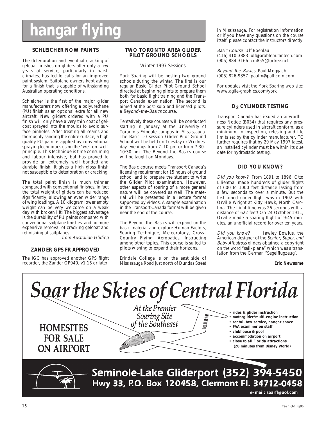# **hangar flying**

#### **SCHLEICHER NOW PAINTS**

The deterioration and eventual cracking of gelcoat finishes on gliders after only a few years of service, particularly in harsh climates, has led to calls for an improved paint system. Sailplane owners kept asking for a finish that is capable of withstanding Australian operating conditions.

Schleicher is the first of the major glider manufacturers now offering a polyurethane (PU) finish as an optional extra for all new aircraft. New gliders ordered with a PU finish will only have a very thin coat of gelcoat sprayed into the moulds to avoid surface pinholes. After treating all seams and thoroughly sanding the entire surface, a high quality PU paint is applied by conventional spraying techniques using the "wet–on–wet" principle. This technique is time consuming and labour intensive, but has proved to provide an extremely well bonded and durable finish. It gives a high gloss finish not susceptible to deterioration or cracking.

The total paint finish is much thinner compared with conventional finishes. In fact the total weight of gliders can be reduced significantly, allowing an even wider range of wing loadings. A 10 kilogram lower empty weight can be very welcome on a weak day with broken lift! The biggest advantage is the durability of PU paints compared with conventional sailplane finishes, and no more expensive removal of cracking gelcoat and refinishing of sailplanes.

from Australian Gliding

#### **ZANDER GPS FR APPROVED**

The IGC has approved another GPS flight recorder, the Zander GP940, v1.16 or later.

#### **TWO TORONTO AREA GLIDER PILOT GROUND SCHOOLS**

Winter 1997 Sessions

York Soaring will be hosting two ground schools during the winter. The first is our regular Basic Glider Pilot Ground School directed at beginning pilots to prepare them both for basic flight training and the Transport Canada examination. The second is aimed at the post–solo and licensed pilots, a Beyond–the–Basics course.

Tentatively these courses will be conducted starting in January at the University of Toronto's Erindale campus in Mississauga. The Basic 10 session Glider Pilot Ground School will be held on Tuesday or Wednesday evenings from 7–10 pm or from 7:30– 10:30 pm. The Beyond–the–Basics course will be taught on Mondays.

The Basic course meets Transport Canada's licensing requirement for 15 hours of ground school and to prepare the student to write the Glider Pilot examination. However, other aspects of soaring of a more general nature will be covered as well. The material will be presented in a lecture format supported by videos. A sample examination in the Transport Canada format will be given near the end of the course.

The Beyond–the–Basics will expand on the basic material and explore Human Factors, Soaring Technique, Meteorology, Cross– Country Flying, Aerobatics, Instructing among other topics. This course is suited to pilots wishing to expand their horizons.

Erindale College is on the east side of Mississauga Road just north of Dundas Street in Mississauga. For registration information or if you have any questions on the course itself, please contact the instructors directly:

Basic Course Ulf Boehlau (416) 410-3883 ulf@problem.tantech.com (905) 884-3166 cm855@torfree.net

Beyond–the–Basics Paul Moggach (905) 826-9357 paulm@pathcom.com

For updates visit the York Soaring web site: www.agile-graphics.com/york

#### **O2 CYLINDER TESTING**

Transport Canada has issued an airworthiness Notice (B034) that requires any pressure cylinders used in aircraft conform, as a minimum, to inspection, retesting and life limits set by the cylinder manufacturer. TC further requires that by 29 May 1997 latest, an installed cylinder must be within its due date for hydrostatic testing.

#### **DID YOU KNOW?**

Did you know? From 1891 to 1896, Otto Lilienthal made hundreds of glider flights of 600 to 1000 feet distance lasting from a few seconds to over a minute. But the first timed glider flight was in 1902 with Orville Wright at Kitty Hawk, North Carolina. The flight time was 26 seconds with a distance of 622 feet! On 24 October 1911, Orville made a soaring flight of 9:45 minutes, an unofficial record for over ten years.

Did you know? Hawley Bowlus, the American designer of the Senior, Super, and Baby Albatross gliders obtained a copyright on the word "sail–plane" which was a translation from the German "Segelflugzeug".

**Eric Newsome**

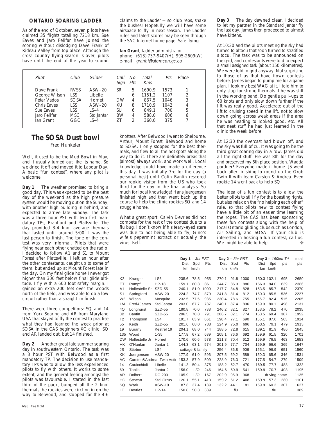#### **ONTARIO SOARING LADDER**

As of the end of October, seven pilots have claimed 35 flights totalling 7218 km. Sue Eaves and Jaro Felifar have joined the scoring without dislodging Dave Frank of Rideau Valley from top place. Although the cross–country flying season is over, pilots have until the end of the year to submit claims to the Ladder — so club reps, shake the bushes! Hopefully we will have some airspace to fly in next season. The Ladder rules and latest scores may be seen through the SAC Internet home page. Safe flying.

**Ian Grant**, ladder administrator phone (613) 737-9407(H), 995-2609(W) e-mail grant.i@atomcon.gc.ca

| Pilot         | Club        | Glider           | Call<br>Sign | No.<br>Flts    | Total<br>Kms | Pts  | Place |
|---------------|-------------|------------------|--------------|----------------|--------------|------|-------|
| Dave Frank    | <b>RVSS</b> | $ASW-20$         | SR           | 5              | 1690.9       | 1573 |       |
| George Wilson | <b>LSS</b>  | Libelle          |              | 6              | 1151.2       | 1107 | 2     |
| Peter Vados   | <b>SOSA</b> | Hornet           | <b>DW</b>    | 4              | 867.5        | 1046 | 3     |
| Chris Eaves   | LSS         | $ASW-20$         | XU           | 8              | 1710.9       | 1042 | 4     |
| Sue Eaves     | <b>LSS</b>  | $\mathsf{LS}$ -4 | SU           | 6              | 849.1        | 700  | 5     |
| Jaro Felifar  | <b>MSC</b>  | Std Jantar       | <b>BW</b>    | 4              | 588.0        | 606  | 6     |
| Ian Grant     | GGC         | $\sqrt{-4}$      | 71           | $\mathfrak{D}$ | 360.0        | 375  |       |
|               |             |                  |              |                |              |      |       |

# **The SOSA Dust bowl**

Fred Hunkeler

Well, it used to be the Mud Bowl in May, and it usually turned out like its name. So we dried it off and moved it to Labour Day. A basic "fun contest", where any pilot is welcome.

**Day 1** The weather promised to bring a good day. This was expected to be the best day of the weekend as the high pressure system would be moving out on the Sunday, with another high building in behind, and expected to arrive late Sunday. The task was a three hour PST with two first mandatory TPs, Brantford and Plattsville. The day provided 3-4 knot average thermals that lasted until around 5:00. I was the last person to finish. The tone of the contest was very informal. Pilots that were flying near each other chatted on the radio. I decided to follow A1 and S1 to Mount Forest after Plattsville. I left an hour after the other contestants, caught up to some of them, but ended up at Mount Forest late in the day. On my final glide home I never got higher than 300 feet below final glide altitude. I fly with a 600 foot safety margin. I gained an extra 200 feet over the woods north of the field, and was able to do a low circuit rather than a straight–in finish.

There were three competitors: SQ and 14 from York Soaring and AR from Maryland USA that stayed to fly the contest to practise what they had learned the week prior at SOSA in the CAS beginners XC clinic. SQ and AR landed out, but 14 finished.

**Day 2** Another great late summer soaring day in southwestern Ontario. The task was a 3 hour PST with Belwood as a first mandatory TP. The decision to use mandatory TPs was to allow the less experienced pilots to fly with others. It works to some extent, and the general feeling amongst the pilots was favourable. I started in the last third of the pack, bumped all the 2 knot thermals the rookies were circling in on the way to Belwood, and stopped for the 4-6 knotters. After Belwood I went to Shelburne, Arthur, Mount Forest, Belwood and home to SOSA. I only stopped for the best thermals, and flew to all the hot spots along the way to do it. There are definitely areas that (almost) always work, and work well. Local knowledge could have made a difference this day. I was initially 3rd for the day (a personal best) until Colin Bantin rescored our rookie visitor from the US who took third for the day in the final analysis. So much for local knowledge! Hans Juergensen finished high and then went back up the course to help the clinic rookies SQ and 14 struggle home.

What a great sport. Calvin Devries did not compete for the rest of the contest due to a flu bug. I don't know if his teary–eyed stare was due to not being able to fly, Gino's wife's pepermint extract or actually the virus itself.

**Day 3** The day dawned clear. I decided to let my partner in the Standard Jantar fly the last day. James then proceeded to almost have kittens.

At 10:30 and the pilots meeting the sky had turned to altocu that soon turned to stratified altocu. The task was to be announced on the grid, and contestants were told to expect a small assigned task (about 150 kilometres). We were told to grid anyway. Not surprising to those of us that have flown contests before, James began to pump me for a game plan. I took my best WAG at it. I told him to only stop for strong thermals if he was still in the working band. Do gentle pull–ups to 60 knots and only slow down further if the lift was really good. Accelerate out of the lift to cruising speed in the lift, not to slow down going across weak areas if the area he was heading to looked good, etc. All that neat stuff he had just learned in the clinic the week before.

At 12:30 the overcast had blown off, and the sky was full of cu. It was going to be the third great soaring day in a row. James did all the right stuff. He was 8th for the day and preserved my 6th place position. Wadda pardner! Everyone made it home. JS went back after finishing to round up the Grob Twin II with team Carsten & Andrea. Even rookie 14 went back to help SQ.

The idea of a fun contest is to allow the better pilots to still fly for the boasting rights, but also relax on the "no helping each other" rule, so that pilots new to contest flying have a little bit of an easier time learning the ropes. The CAS has been sponsoring these fun contests along with the help of local Ontario gliding clubs such as London, Air Sailing, and SOSA. If your club is interested in hosting a fun contest, call us. We might be able to help.  $\clubsuit$ 

|                |                           |                   |       | Day $1 - 3hr$ PST |      |       | Day $2 - 3hr$ PST |      |             | Day 3 - 160km Tri |     | total |
|----------------|---------------------------|-------------------|-------|-------------------|------|-------|-------------------|------|-------------|-------------------|-----|-------|
|                |                           |                   | Dist  | Spd               | Pts  | Dist  | Spd               | Pts  | Dist        | Spd               | pts | pts   |
|                |                           |                   | km    | km/h              |      |       | km km/h           |      | km          | km/h              |     |       |
|                |                           |                   |       |                   |      |       |                   |      |             |                   |     |       |
| K <sub>2</sub> | Krueger                   | LS <sub>6</sub>   | 235.6 | 78.5              | 955  | 270.1 | 91.8              | 1000 | 150.3 102.1 |                   | 695 | 2650  |
| ET             | Rumpf                     | <b>HP-18</b>      | 159.1 | 80.3              | 861  | 244.7 | 86.3              | 886  | 166.3       | 94.0              | 639 | 2386  |
| A <sub>1</sub> | Hollestelle Sr            | SZD-55            | 240.1 | 81.0              | 1000 | 217.7 | 84.8              | 828  | 153.5       | 85.7              | 542 | 2370  |
| S <sub>1</sub> | Springford                | <b>ASW-20</b>     | 224.2 | 74.7              | 879  | 241.8 | 81.4              | 812  | 150.3       | 85.5              | 536 | 2227  |
| W <sub>2</sub> | Wilson                    | Mosquito          | 232.5 | 77.5              | 935  | 230.4 | 78.6              | 755  | 156.7       | 82.4              | 515 | 2205  |
| 1M             | Fred&James                | Std Jantar        | 203.0 | 67.7              | 737  | 240.1 | 87.4              | 896  | 159.9       | 80.1              | 498 | 2131  |
| 4Q             | Longhurst                 | <b>SZD-55</b>     | 180.8 | 70.0              | 738  | 246.2 | 82.1              | 827  | 153.5       | 78.2              | 470 | 2035  |
| 3B             | <b>Bantin</b>             | <b>SZD-55</b>     | 206.5 | 70.8              | 791  | 206.7 | 82.1              | 774  | 153.5       | 69.4              | 387 | 1952  |
| T <sub>2</sub> | Thompson                  | LS4               | 191.7 | 63.9              | 661  | 198.4 | 77.1              | 690  | 155.1       | 87.6              | 563 | 1914  |
| 55             | Keith                     | <b>SZD-55</b>     | 201.0 | 68.0              | 738  | 224.9 | 75.0              | 696  | 153.5       | 79.1              | 479 | 1913  |
| 19             | Burany                    | Kestrel 19        | 204.1 | 68.0              | 744  | 188.5 | 72.8              | 615  | 139.1       | 81.9              | 486 | 1845  |
| 135            | Wood                      | $1 - 35$          | 177.8 | 67.2              | 689  | 205.1 | 76.6              | 692  | 159.9       | 61.5              | 320 | 1701  |
| <b>DW</b>      | Hollestelle Jr            | Hornet            | 170.6 | 60.6              | 578  | 211.3 | 70.4              | 612  | 159.9       | 76.5              | 463 | 1653  |
| <b>HK</b>      | O'Hanlan                  | Jantar 2          | 144.3 | 63.1              | 574  | 201.9 | 77.7              | 704  | 159.9       | 66.6              | 369 | 1647  |
| <b>JS</b>      | Stieber                   | LS4               |       | cottage & family  |      | 256.4 | 86.8              | 909  | 155.1       | 96.9              | 651 | 1560  |
| KK             | Juergensen                | ASW-20            | 177.9 | 61.0              | 596  | 207.5 | 69.2              | 589  | 150.3       | 65.6              | 346 | 1531  |
| AC             | Carsten&Andrea Twin Astir |                   | 153.3 | 57.9              | 509  | 228.9 | 76.3              | 721  | 177.5       | 54.7              | 279 | 1509  |
| 14             | Cauicchioli               | Libelle           | 141.3 | 50.4              | 375  | 188.2 | 62.7              | 470  | 169.5       | 77.7              | 488 | 1333  |
| 69             | Toplis                    | Jantar 2          | 156.0 | L/O               | 246  | 164.6 | 69.9              | 541  | 159.9       | 70.7              | 408 | 1195  |
| AR             | <b>Dolhert</b>            | <b>DG 200</b>     | 105.9 | L/O               | 167  | 202.9 | 95.9              | 968  |             | driving home      |     | 1135  |
| HG             | Stewart                   | <b>Std Cirrus</b> | 120.1 | 55.1              | 413  | 159.2 | 61.2              | 408  | 159.9       | 57.3              | 280 | 1101  |
| SQ             | Wark                      | ASW-19            | 87.8  | 37.4              | 139  | 132.2 | 44.1              | 181  | 159.9       | 60.2              | 307 | 627   |
| LT             | <b>Devries</b>            | $HP-14$           | 150.8 | 50.3              | 389  |       | flu               |      |             | flu               |     | 389   |
|                |                           |                   |       |                   |      |       |                   |      |             |                   |     |       |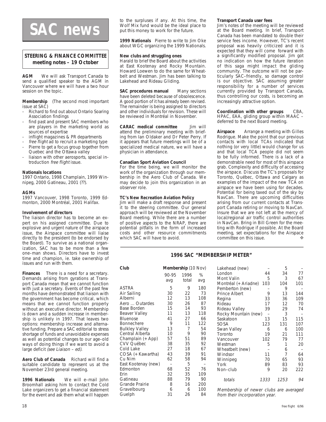# **SAC news**

#### **STEERING & FINANCE COMMITTEE meeting notes – 19 October**

**AGM** We will ask Transport Canada to send a qualified speaker to the AGM in Vancouver where we will have a two hour session on the topic.

**Membership** (The second most important issue at SAC)

- Richard to find out about Ontario Soaring Association findings
- find past and present SAC members who are players in the marketing world as sources of expertise
- inflight magazines & PR departments
- free flight ad to recruit a marketing type
- Pierre to get a focus group together from Quebec and the Ottawa valley
- liaison with other aerosports, special introduction free flight issue.

#### **Nationals locations**

1997 Ontario, 1998 Champlain, 1999 Winnipeg, 2000 Gatineau, 2001 (??).

#### **AGMs**

1997 Vancouver, 1998 Toronto, 1999 Edmonton, 2000 Montréal, 2001 Halifax.

#### **Involvement of directors**

The liaison director has to become an expert on his assigned committee. Due to explosive and urgent nature of the airspace issue, the Airspace committee will liaise directly to the president (to be endorsed by the Board). To survive as a national organization, SAC has to be more than a few one–man shows. Directors have to invest time and champion, ie. take ownership of issues and run with them.

**Finances** There is a need for a secretary. Demands arising from gyrations at Transport Canada mean that we cannot function with just a secretary. Events of the past few months have demonstrated that liaison with the government has become critical, which means that we cannot function properly without an executive director. Membership is down and a sudden increase in membership is unlikely in 1997. That leaves two options: membership increase and alternative funding. Prepare a SAC editorial to stress shortage of funds and unavoidable expenses as well as potential changes to our age–old ways of doing things if we want to avoid a large deficit (see Liaison - ed).

**Aero Club of Canada** Richard will find a suitable candidate to represent us at the November 23rd general meeting.

**1996 Nationals** We will e–mail John Broomhall asking him to contact the Cold Lake organizers to get a financial statement for the event and ask them what will happen

**1999 Nationals** Pierre to write to Jim Oke about WGC organizing the 1999 Nationals.

#### **New clubs and struggling ones**

Harald to brief the Board about the activities at East Kootenay and Rocky Mountain. Howard Loewen to do the same for Wheatbelt and Westman. Jim has been talking to Lakehead and Rideau Gliding.

**SAC procedures manual** Many sections have been deleted because of obsolescence. A good portion of it has already been revised. The remainder is being assigned to directors and other individuals for revision. These will be reviewed in Montréal in November.

**CARAC medical committee** Jim will attend the preliminary meeting with briefing from Ian Oldaker and Dr Peter Perry. If it appears that future meetings will be of a specialized medical nature, we will have a physician in attendance.

#### **Canadian Sport Aviation Council**

For the time being, we will monitor the work of the organization through our membership in the Aero Club of Canada. We may decide to join this organization in an observer role.

#### **TC's New Recreation Aviation Policy**

Jim will make a draft response and present it to the steering committee. Our general approach will be reviewed at the November Board meeting. While there are a number of positive aspects to the NRAP, there are potential pitfalls in the form of increased costs and other resource commitments which SAC will have to avoid.

#### **Transport Canada user fees**

Jim's notes of the meeting will be reviewed at the Board meeting. In brief, Transport Canada has been mandated to double their service fees income. However, TC's recent proposal was heavily criticized and it is expected that they will come forward with a significantly modified proposal. Jim got no indication on how the future iteration of this saga might impact the gliding community. The outcome will not be particularly SAC–friendly, so damage control is our objective. SAC assuming greater responsibility for a number of services currently provided by Transport Canada, thus controlling our costs, is becoming an increasingly attractive option.

**Coordination with other groups** CBA, HPAC, EAA, gliding group within MAAC – deferred to the next Board meeting.

**Airspace** Arrange a meeting with Gilles Rodrigue. Make the point that our previous contacts with local TCAs indicated that nothing (or very little) would change for us and that local TCA people did not seem to be fully informed. There is a lack of a demonstrable need for most of this airspace grab. Complexity and difficulty of accessing the airspace. Discuss the TC's proposals for Toronto, Québec, Ottawa and Calgary as examples of the impact of the new TCA on airspace we have been using for decades. Potential for being taxed out of the sky by NavCan. There are upcoming difficulties arising from our current contacts at Transport Canada retiring or moving to NavCan. Insure that we are not left at the mercy of local/regional air traffic control authorities in NavCan. Bring in Bill Green for the meeting with Rodrigue if possible. At the Board meeting, set expectations for the Airspace committee on this issue. ◆

#### **1996 SAC "MEMBERSHIP METER"**

| Club                  | Membership (10 Nov) |       |     |  |  |  |
|-----------------------|---------------------|-------|-----|--|--|--|
|                       | 90-95               | 1996  | %   |  |  |  |
|                       | avg                 | total | avg |  |  |  |
| <b>ASTRA</b>          | 5                   | 9     | 180 |  |  |  |
| Air Sailing           | 30                  | 22    | 73  |  |  |  |
| Alberni               | 12                  | 13    | 108 |  |  |  |
| Aero  Outardes        | 30                  | 26    | 87  |  |  |  |
| Base Borden           | 15                  | 14    | 93  |  |  |  |
| Beaver Valley         | 11                  | 13    | 118 |  |  |  |
| <b>Bluenose</b>       | 41                  | 27    | 66  |  |  |  |
| Bonnechere            | 9                   | 11    | 122 |  |  |  |
| <b>Bulkley Valley</b> | 13                  | 7     | 54  |  |  |  |
| Central Alberta       | 10                  | 9     | 90  |  |  |  |
| Champlain (+ App)     | 57                  | 51    | 89  |  |  |  |
| <b>CVV Québec</b>     | 38                  | 35    | 92  |  |  |  |
| Cold Lake             | 27                  | 18    | 67  |  |  |  |
| COSA (+ Kawartha)     | 43                  | 39    | 91  |  |  |  |
| Cu Nim                | 62                  | 58    | 94  |  |  |  |
| East Kootenay (new)   |                     | 5     |     |  |  |  |
| Edmonton              | 68                  | 52    | 76  |  |  |  |
| Erin                  | 32                  | 35    | 109 |  |  |  |
| Gatineau              | 88                  | 79    | 90  |  |  |  |
| Grande Prairie        | 8                   | 16    | 200 |  |  |  |
| Gravelbourg           | 6                   | 6     | 100 |  |  |  |
| Guelph                | 31                  | 26    | 84  |  |  |  |

| Lakehead (new)       |      | 5    |     |
|----------------------|------|------|-----|
| London               | 44   | 34   | 77  |
| Mont Valin           | 5    | 3    | 67  |
| Montréal (+ Ariadne) | 103  | 104  | 101 |
| Pemberton (new)      |      | 9    |     |
| Prince Albert        | 9    | 13   | 144 |
| Regina               | 33   | 36   | 109 |
| Rideau               | 17   | 12   | 70  |
| Rideau Valley        | 39   | 29   | 74  |
| Rocky Mountain (new) |      | 3    |     |
| Saskatoon            | 13   | 15   | 115 |
| SOSA                 | 123  | 131  | 107 |
| Swan Valley          | 6    | 6    | 100 |
| Toronto              | 19   | 21   | 111 |
| Vancouver            | 102  | 79   | 77  |
| Westman              | 5    | 1    | 20  |
| Wheatbelt (new)      |      | 6    |     |
| Windsor              | 11   | 7    | 64  |
| Winnipeg             | 70   | 65   | 93  |
| York                 | 89   | 83   | 93  |
| Non-club             | 9    | 20   | 222 |
| totals               | 1333 | 1253 | 94  |
|                      |      |      |     |

Membership of newer clubs are averaged from their incorporation year.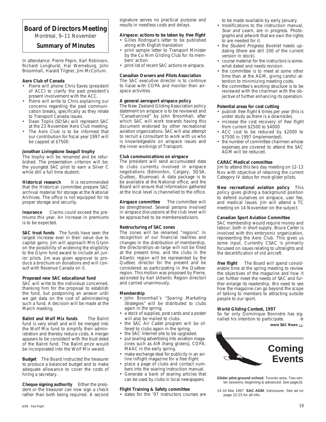## **Board of Directors Meeting**

Montreal, 9–11 November

#### **Summary of Minutes**

In attendance: Pierre Pepin, Karl Robinson, Richard Longhurst, Hal Werneburg, John Broomhall, Harald Tilgner, Jim McCollum.

#### **Aero Club of Canada**

- Pierre will phone Chris Eaves (president of ACC) to clarify the past president's present involvement with the ACC.
- Pierre will write to Chris explaining our concerns regarding the past communication breaks, specifically as they relate to Transport Canada issues.
- Dean Toplis (SOSA) will represent SAC at the 23 November Aero Club meeting.
- The Aero Club is to be informed that our contribution for fiscal year 1997 will be capped at \$7500.

#### **Jonathan Livingstone Seagull trophy**

The trophy will be renamed and be refurbished. The presentation criterion will be: the youngest SAC pilot to earn a Silver C while still a full time student.

**Historical research** It is recommended that the Historical committee prepare SAC archival material for storage at the National Archives. The office is not equipped for its proper storage and security.

**Insurance** Claims could exceed the premiums this year. An increase in premiums is to be expected.

**SAC trust funds** The funds have seen the largest increase ever in their value due to capital gains. Jim will approach Mrs Glynn on the possibility of widening the eligibility to the Glynn fund award to include all junior pilots. Jim was given approval to produce a brochure on donations and will consult with Revenue Canada on it.

#### **Proposed new SAC educational fund**

SAC will write to the individual concerned, thanking him for the proposal to establish the fund, but postponing an answer until we get data on the cost of administering such a fund. A decision will be made at the March meeting.

**Balint and Wolf Mix funds** The Balint fund is very small and will be merged into the Wolf Mix fund to simplify their administration and thereby reduce costs. A merger appears to be consistent with the trust deed of the Balint fund. The Balint prize would be incorporated into the Wolf Mix award.

**Budget** The Board instructed the treasurer to produce a balanced budget and to make adequate allowance to cover the costs of hiring a secretary.

**Cheque signing authority** Either the president or the treasurer can now sign a check rather than both being required. A second signature serves no practical purpose and results in needless costs and delays.

#### **Airspace: actions to be taken by free flight** • Gilles Rodrigue's letter to be published

- along with English translation • print sample letter to Transport Minister by the Cu Nim Gliding Club for its mem-
- bers' action. • print list of recent SAC actions re airspace.

#### **Canadian Owners and Pilots Association**

The SAC executive director is to continue to liaise with COPA and monitor their airspace activities.

#### **A general aerosport airspace policy**

The New Zealand Gliding Association policy statement on airspace is to be reviewed and "Canadianized" by John Broomhall, after which SAC will work towards having this document endorsed by other recreational aviation organizations. SAC will also attempt to recruit a consultant to work with us who is knowledgeable on airspace issues and the inner workings of Transport.

#### **Club communications on airspace**

The president will send accumulated data to clubs currently involved in airspace negotiations (Edmonton, Calgary, SOSA, Québec, Bluenose). A data package is to be available at the National office, and the Board will ensure that information gathered at the local level is channelled to the office.

**Airspace committee** The committee will be strengthened. Several persons involved in airspace discussions at the club level will be approached to be members/advisors.

#### **Restructuring of SAC zones**

The zones will be renamed "regions". In recognition of our financial realities and changes in the distribution of membership, the directorships–at–large will not be filled at the present time, and the clubs in the Atlantic region will be represented by the Québec director for the present and be considered as participating in the Québec region. This motion was proposed by Pierre, seconded by Karl (Atlantic Region director) and carried unanimously.

#### **Membership**

- John Broomhall's "Soaring Marketing Strategies" will be distributed to clubs again in the spring.
- a stock of supplies, post cards and a poster will also be mailed to clubs.
- the SAC Air Cadet program will be offered to clubs again in the spring.
- the SAC Internet site to be upgraded.
- put soaring advertising into aviation magazines such as AIR (hang gliders), COPA, MAAC in the early spring.
- make exchange deal for publicity in an airline inflight magazine for a free flight.
- place a page of clubs and contact numbers into the soaring instruction manual.
- Generate a bank of soaring articles that can be used by clubs in local newspapers.

#### **Flight Training & Safety committee**

• dates for the '97 instructors courses are

to be made available by early January.

- modifications to the instruction manual, Soar and Learn, are in progress. Photographs and artwork that we own the rights to are needed for it.
- the Student Progress Booklet needs updating (there are still 200 of the current version in stock).
- course material for the instructors is somewhat dated and needs revision.
- the committee is to meet at some other time than at the AGM, giving careful attention to minimizing meeting costs.
- the committee's working structure is to be reviewed with the chairman with the objective of further enhancing its operation.

#### **Potential areas for cost cutting**

- publish free flight 4 times per year (this is under study as there is a downside),
- increase the cost recovery of free flight from current \$2500 to \$4000
- ACC cost to be reduced by \$2000 to \$7500 in 1997 (implemented).
- the number of committee chairmen whose expenses are covered to attend the SAC AGM will be reduced.

#### **CARAC Medical committee**

Jim to attend this two day meeting on 12-13 Nov with objective of retaining the current Category IV status for most glider pilots.

**New recreational aviation policy** This policy gives gliding a background position to defend ourselves on airspace, user fee, and medical issues. Jim will attend a TC meeting on 14 November on the subject.

#### **Canadian Sport Aviation Committee**

SAC membership would require money and labour, both in short supply. Bruce Carter is involved with this embryonic organization, representing the Aero Club. This gives us some input. Currently CSAC is primarily focussed on issues relating to ultralights and the decertification of old aircraft.

**free flight** The Board will spend considerable time at the spring meeting to review the objectives of the magazine and how it can further meet the needs of SAC and further enlarge its readership. We need to see how the magazine can go beyond the scope of talking to members to attracting outside people to our sport.

#### **World Gliding Contest, 1997**

So far only Dominique Bonnière has signalled his intention to participate.

**more SAC News**  $\Rightarrow$ 



**Glider pilot ground school**, Toronto area. Two winter sessions, beginning & advanced. See page16.

14-16 Mar 1997 **SAC AGM**, Vancouver. See ad on page 22-23 for all info.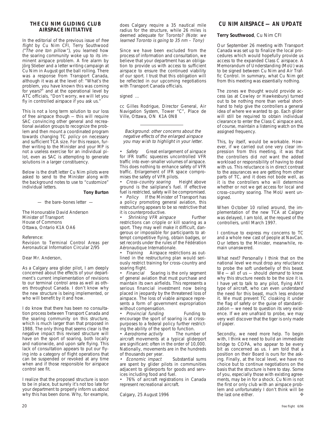#### **THE CU NIM GLIDING CLUB AIRSPACE INITIATIVE**

In the editorial of the previous issue of free flight by Cu Nim CFI, Terry Southwood  $\ell$ <sup>The one ton pillow"), you learned how</sup> the soaring community woke up to its imminent airspace problem. A fire alarm by Jörg Stieber and a letter writing campaign at Cu Nim in August got the ball rolling. There was a response from Transport Canada, although it was at the level of: "What's the problem, you have known this was coming for years?" and at the operational level by ATC officials, "Don't worry, we will let you fly in controlled airspace if you ask us."

This is not a long term solution to our loss of free airspace though — this will require SAC convincing other general and recreational aviation groups to recognize the problem and then mount a coordinated program towards changing TC policy on necessary and sufficient TCA size. For this reason, further writing to the Minister and your MP is not a useless exercise for an individual pilot, even as SAC is attempting to generate solutions in a larger constituency.

Below is the draft letter Cu Nim pilots were asked to send to the Minister along with the background notes to use to "customize" individual letters.

#### **Tony Burton**

— the bare–bones letter —

The Honourable David Anderson Minister of Transport House of Commons Ottawa, Ontario K1A OA6

Reference:

Revision to Terminal Control Areas per Aeronautical Information Circular 2/95

Dear Mr. Anderson,

As a Calgary area glider pilot, I am deeply concerned about the effects of your department's current implementation of revisions to our terminal control area as well as others throughout Canada. I don't know why the new structure is being implemented, or who will benefit by it and how.

I do know that there has been no consultation process between Transport Canada and the soaring community on this structure, which is much larger than that proposed in 1988. The only thing that seems clear is the negative impact this revised structure will have on the sport of soaring, both locally and nationwide, and upon safe flying. This lack of consultation appears to put our flying into a category of flight operations that can be suspended or revoked at any time when and if those responsible for airspace control see fit.

I realize that the proposed structure is soon to be in place, but surely it's not too late for your department to properly inform us about why this has been done. Why, for example,

does Calgary require a 35 nautical mile radius for the structure, while 26 miles is deemed adequate for Toronto? (Note: we learned Toronto is going to 35 nm – Tony)

Since we have been excluded from the process of information and consultation, we believe that your department has an obligation to provide us with access to sufficient airspace to ensure the continued viability of our sport. I trust that this obligation will be reflected in our upcoming negotiations with Transport Canada officials.

signed ...

cc Gilles Rodrigue, Director General, Air Navigation System, Tower "C", Place de Ville, Ottawa, ON K1A 0N8

Background: other concerns about the negative effects of the enlarged airspace you may wish to highlight in your letter.

• Safety Great enlargement of airspace for IFR traffic squeezes uncontrolled VFR traffic into ever–smaller volumes of airspace. This does nothing to enhance safety of VFR traffic. Enlargement of IFR space compromises the safety of VFR pilots.

• Cross–country soaring Height above ground is the sailplane's fuel. If effective fuel is restricted, safety will be compromised.

• Policy If the Minister of Transport has a policy promoting general aviation, this restructuring appears to be so restrictive that it is counterproductive.

Shrinking VFR airspace Further restrictions can cripple or kill soaring as a sport. They may well make it difficult, dangerous or impossible for participants to attempt competitive flying, obtain badges, or set records under the rules of the Fédération Aéronautique Internationale.

• Training Airspace restrictions as outlined in the restructuring plan would seriously restrict training for cross–country and soaring flight.

• Financial Soaring is the only segment of general aviation that must purchase and maintain its own airfields. This represents a serious financial investment now being placed in jeopardy by the threatened loss of airspace. The loss of viable airspace represents a form of government expropriation without compensation.

• Provincial funding Funding to encourage the sport of soaring is at cross– purposes to a federal policy further restricting the ability of the sport to function.

• Aerodrome activity The number of aircraft movements at a typical gliderport are significant: often in the order of 10,000. Nationally, movements are in the hundreds of thousands per year.

• Economic impact Substantial sums are spent by glider pilots in communities adjacent to gliderports for goods and services including food and fuel.

• 76% of aircraft registrations in Canada represent recreational aircraft.

Calgary, 25 August 1996

#### **CU NIM AIRSPACE — AN UPDATE**

#### **Terry Southwood**, Cu Nim CFI

Our September 26 meeting with Transport Canada was set up to finalize the local procedures which would hopefully provide us access to the expanded Class C airspace. A Memorandum of Understanding (MoU) was to be signed between Cu Nim and Air Traffic Control. In summary, what Cu Nim got from this meeting was essentially nothing.

The zones we thought would provide access (as at Cowley or Hawkesbury) turned out to be nothing more than verbal shorthand to help give the controllers a general idea of where we wanted to go. Each glider will still be required to obtain individual clearance to enter the Class C airspace and, of course, maintain a listening watch on the assigned frequency.

This, by itself, would be workable. However, if we carried out one very clear impression from this meeting, it was that the controllers did not want the added workload or responsibility of having to deal with us. This reluctance is in direct contrast to the assurances we are getting from other parts of TC, and it does not bode well, as it is the controllers who will determine whether or not we get access for local and cross–country soaring. The MoU went unsigned.

When October 10 rolled around, the implementation of the new TCA at Calgary was delayed, I am told, at the request of the controllers, until March 1997.

I continue to express my concerns to TC and a whole new cast of people at NavCan. Our letters to the Minister, meanwhile, remain unanswered.

What next? Personally I think that on the national level we must drop any reluctance to probe the soft underbelly of this beast.  $We = all of us = should demand to know$ why this structure needs to be the size it is. I have yet to talk to any pilot, flying ANY type of aircraft, who can even understand the need for this beast, much less endorse it. We must prevent TC cloaking it under the flag of safety or the guise of standardization — we need to question its very existence. If we are unafraid to probe, we may very well discover that the tiger is only made of paper.

Secondly, we need more help. To begin with, I think we need to build an immediate bridge to COPA, who appear to be every bit as concerned as us. I am told that a position on their Board is ours for the asking. Finally, at the local level, we have no choice but to continue negotiations on the basis that the structure is here to stay. Some of you, especially those with existing agreements, may be in for a shock. Cu Nim is not the first or only club with an airspace problem and unfortunately I don't think will be<br>the last one either the last one either.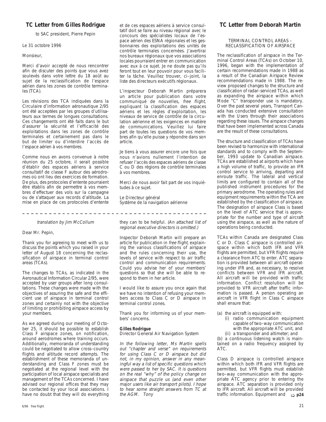#### **TC Letter from Gilles Rodrigue**

to SAC president, Pierre Pepin

#### Le 31 octobre 1996

#### Monsieur,

Merci d'avoir accepté de nous rencontrer afin de discuter des points que vous avez soulevés dans votre lettre du 18 août au sujet de la reclassification de l'espace aérien dans les zones de contrôle terminales (TCA).

Les révisions des TCA indiquées dans la Circulaire d'information aéronautique 2/95 ont été acceptées par les groupes d'utilisateurs aux termes de longues consultations. Ces changements ont été faits dans le but d'assurer la sécurité et l'efficacité des exploitations dans les zones de contrôle terminales et certainement pas dans le but de limiter ou d'interdire l'accès de l'espace aérien à vos membres.

Comme nous en avons convenue à notre réunion du 25 octobre, il serait possible d'établir des espaces aériens à service consultatif de classe F autour des aérodromes où ont lieu des exercices de formation. De plus, des protocoles d'entente pourraient être établis afin de permettre à vos membres d'effectuer des vols sur la campagne ou de s'attaquer aux records d'altitude. La mise en place de ces protocoles d'entente

#### translation by Jim McCollum

#### Dear Mr. Pepin,

Thank you for agreeing to meet with us to discuss the points which you raised in your letter of August 18 concerning the reclassification of airspace in terminal control areas (TCAs).

The changes to TCAs, as indicated in the Aeronautical Information Circular 2/95, were accepted by user groups after long consultations. These changes were made with the objectives of assuring the safe and the efficient use of airspace in terminal control zones and certainly not with the objective of limiting or prohibiting airspace access by your members.

As we agreed during our meeting of October 25, it should be possible to establish Class F airspace zones, on notification, around aerodromes where training occurs. Additionally, memoranda of understanding could be negotiated to allow cross–country flights and altitude record attempts. The establishment of these memoranda of understanding and Class F zones must be negotiated at the regional level with the participation of local airspace specialists and management of the TCAs concerned. I have advised our regional offices that they may be contacted by your local associations. I have no doubt that they will do everything et de ces espaces aériens à service consultatif doit se faire au niveau régional avec le concours des spécialistes locaux de l'espace aérien des ESNA régionales et les gestionnaires des exploitations des unités de contrôle terminales concernées. J'avertirai nos bureaux régionaux que vos associations locales pourraient entrer en communication avec eux à ce sujet. Je ne doute pas qu'ils feront tout en leur pouvoir pour vous faciliter la tâche. Veuillez trouver, ci–joint, la liste des directeurs exécutifs régionaux.

L'inspecteur Deborah Martin préparera un article pour publication dans votre communiqué de nouvelles, free flight, expliquant la classification des espaces aériens et les règles d'exploitation, les niveaux de service de contrôle de la circulation aérienne et les exigences en matière de communications. Veuillez lui faire part de toutes les questions de vos membres afin qu'elle puisse y répondre dans son article.

Je tiens à vous assurer encore une fois que nous n'avions nullement l'intention de refuser l'accès des espaces aériens de classe C ou D des régions de contrôle terminales à vos membres.

Merci de nous avoir fait part de vos inquiétudes à ce sujet.

Le Directeur général Système de la navigation aérienne

they can to be helpful. (An attached list of regional executive directors is omitted.)

Inspector Deborah Martin will prepare an article for publication in free flight, explaining the various classifications of airspace and the rules concerning their use, the levels of service with respect to air traffic control and communication requirements. Could you advise her of your members' questions so that she will be able to respond to them in her article.

I would like to assure you once again that we have no intention of refusing your members access to Class C or D airspace in terminal control zones.

Thank you for informing us of your members' concerns.

#### **Gilles Rodrigue**

Director General Air Navigation System

In the following letter, Ms Martin spells out "chapter and verse" on requirements for using Class C or D airspace but did not, in my opinion, answer in any meaningful way a list of specific questions which were passed to her by SAC. It is questions on the real "why" of the policy change on airspace that puzzle us (and even other major users like air transport pilots). I hope to hear some straight answers from TC at the AGM. Tony the AGM. Tony **be a contract to the CO** traffic information. Equipment and  $\Rightarrow$  **p24** 

## **TC Letter from Deborah Martin**

#### TERMINAL CONTROL AREAS – RECLASSIFICATION OF AIRSPACE

The reclassification of airspace in the Terminal Control Areas (TCAs) on October 10, 1996, began with the implementation of certain recommendations made in 1988 as a result of the Canadian Airspace Review recommendations made in 1988. The review proposed changes to the structure and classification of radar–serviced TCAs, as well as expanding the airspace within which Mode "C" transponder use is mandatory. Over the past several years, Transport Canada has conducted extensive consultation with the Users through their associations regarding these issues. The airspace changes that have been implemented across Canada are the result of these consultations.

The structure and classification of TCAs have been revised to harmonize with international standards and to comply with the September, 1993 update to Canadian airspace. TCAs are established at airports which have a high volume of traffic, to provide an IFR control service to arriving, departing and enroute traffic. The lateral and vertical limits are configured to contain all of the published instrument procedures for the primary aerodrome. The operating rules and equipment requirements within the TCA are established by the classification of airspace. The designation of airspace Class is based on the level of ATC service that is appropriate for the number and type of aircraft using the airspace, as well as the nature of operations being conducted.

TCAs within Canada are designated Class C or D. Class C airspace is controlled airspace within which both IFR and VFR flights are permitted, but VFR flights require a clearance from ATC to enter. ATC separation is provided between all aircraft operating under IFR and, as necessary, to resolve conflicts between VFR and IFR aircraft. All aircraft will be provided with traffic information. Conflict resolution will be provided to VFR aircraft after traffic information is passed. A person operating an aircraft in VFR flight in Class C airspace shall ensure that:

(a) the aircraft is equipped with:

- (i) radio communication equipment capable of two–way communication with the appropriate ATC unit, and
- (ii) a transponder and altimeter; and

(b) a continuous listening watch is maintained on a radio frequency assigned by ATC.

Class D airspace is controlled airspace within which both IFR and VFR flights are permitted, but VFR flights must establish two–way communication with the appropriate ATC agency prior to entering the airspace. ATC separation is provided only to IFR aircraft. All aircraft will be provided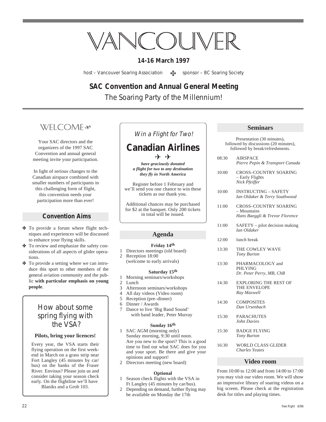# VANCOUVER

## **14-16 March 1997**

host – Vancouver Soaring Association <br>
<sub>22</sub> sponsor – BC Soaring Society

# **SAC Convention and Annual General Meeting**

The Soaring Party of the Millennium!

# WFICOMF<sup>\$</sup>

Your SAC directors and the organizers of the 1997 SAC Convention and annual general meeting invite your participation.

In light of serious changes to the Canadian airspace combined with smaller numbers of participants in this challenging form of flight, this convention needs your participation more than ever!

## **Convention Aims**

- ✤ To provide a forum where flight techniques and experiences will be discussed to enhance your flying skills.
- ✤ To review and emphasize the safety considerations of all aspects of glider operations.
- ✤ To provide a setting where we can introduce this sport to other members of the general aviation community and the public **with particular emphasis on young people**.

## How about some spring flying with the VSA?

#### **Pilots, bring your licences!**

Every year, the VSA starts their flying operation on the first weekend in March on a grass strip near Fort Langley (45 minutes by car/ bus) on the banks of the Fraser River. Envious? Please join us and consider taking your season check early. On the flightline we'll have Blaniks and a Grob 103.

## Win a Flight for Two!

## **Canadian Airlines**  $\leq \geq 1$

*have graciously donated a flight for two to any destination they fly in North America*

Register before 1 February and we'll send you one chance to win these tickets as our thank you.

Additional chances may be purchased for \$2 at the banquet. Only 200 tickets in total will be issued.

#### **Agenda**

#### **Friday 14th**

- 1 Directors meetings (old board) 2 Reception 18:00
	- (welcome to early arrivals)

#### **Saturday 15th**

- 1 Morning seminars/workshops
- 2 Lunch
- 3 Afternoon seminars/workshops<br>4 All day videos (Video room)
- 4 All day videos (Video room)
- 5 Reception (pre–dinner)
- 6 Dinner / Awards
- 7 Dance to live 'Big Band Sound' with band leader, Peter Murray

#### **Sunday 16th**

- 1 SAC AGM (morning only) Sunday morning, 9:30 until noon. Are you new to the sport? This is a good time to find out what SAC does for you and your sport. Be there and give your opinions and support!
- Directors meeting (new board)

#### **Optional**

- 1 Season check flights with the VSA in Ft Langley (45 minutes by car/bus).
- 2 Depending on demand, further flying may be available on Monday the 17th

#### **Seminars**

Presentation (30 minutes), followed by discussions (20 minutes), followed by break/refreshments. 08:30 AIRSPACE *Pierre Pepin & Transport Canada* 10:00 CROSS–COUNTRY SOARING – Early Flights *Nick Pfeiffer* 10:00 INSTRUCTING – SAFETY *Ian Oldaker & Terry Southwood* 11:00 CROSS–COUNTRY SOARING – Mountains *Hans Baeggli & Trevor Florence* 11:00 SAFETY – pilot decision making *Ian Oldaker* 12:00 lunch break 13:30 THE COWLEY WAVE *Tony Burton* PHLYING *Dr. Peter Perry, MB, ChB* THE ENVELOPE *Ray Maxwell*

- 
- 
- 13:30 PHARMACOLOGY and
- 14:30 EXPLORING THE REST OF
- 14:30 COMPOSITES *Dan Ursenbach*
- 15:30 PARACHUTES *John Davies*
- 15:30 BADGE FLYING *Tony Burton*
- 16:30 WORLD CLASS GLIDER *Charles Yeates*

#### **Video room**

From 10:00 to 12:00 and from 14:00 to 17:00 you may visit our video room. We will show an impressive library of soaring videos on a big screen. Please check at the registration desk for titles and playing times.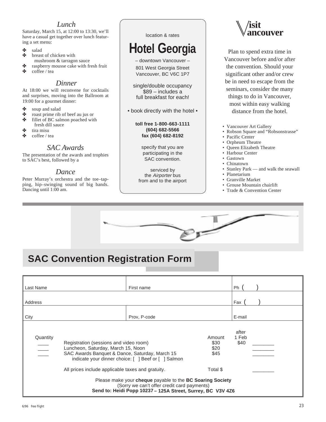## *Lunch*

Saturday, March 15, at 12:00 to 13:30, we'll have a casual get together over lunch featuring a set menu:

- ✤ salad
- breast of chicken with mushroom & tarragon sauce
- ✤ raspberry mousse cake with fresh fruit
- ✤ coffee / tea

## *Dinner*

At 18:00 we will reconvene for cocktails and surprises, moving into the Ballroom at 19:00 for a gourmet dinner:

- <sup>38</sup> soup and salad<br><sup>38</sup> roast prime rib
- ✤ roast prime rib of beef au jus or
- ✤ fillet of BC salmon poached with
- fresh dill sauce
- ✤ tira misu
- ✤ coffee / tea

## *SAC Awards*

The presentation of the awards and trophies to SAC's best, followed by a

## *Dance*

Peter Murray's orchestra and the toe–tapping, hip–swinging sound of big bands. Dancing until 1:00 am.

#### location & rates

# **Hotel Georgia**

– downtown Vancouver – 801 West Georgia Street Vancouver, BC V6C 1P7

single/double occupancy \$89 – includes a full breakfast for each!

• book directly with the hotel •

#### **toll free 1-800-663-1111 (604) 682-5566 fax (604) 682-8192**

specify that you are participating in the SAC convention.

serviced by the Airporter bus from and to the airport



Plan to spend extra time in Vancouver before and/or after the convention. Should your significant other and/or crew be in need to escape from the seminars, consider the many things to do in Vancouver, most within easy walking distance from the hotel.

- Vancouver Art Gallery
- Robson Square and "Robsonstrasse"
- Pacific Center
- Orpheum Theatre
- Queen Elizabeth Theatre
- Harbour Center
- Gastown
- Chinatown
- Stanley Park and walk the seawall
- Planetarium
- Granville Market
- Grouse Mountain chairlift
- Trade & Convention Center



# **SAC Convention Registration Form**

| Last Name                                                                                                                                                               |                                                   | First name                                          |                                | Ph                     |  |  |  |
|-------------------------------------------------------------------------------------------------------------------------------------------------------------------------|---------------------------------------------------|-----------------------------------------------------|--------------------------------|------------------------|--|--|--|
| Address                                                                                                                                                                 |                                                   |                                                     |                                | Fax                    |  |  |  |
| City                                                                                                                                                                    |                                                   | Prov. P-code                                        |                                | E-mail                 |  |  |  |
| Quantity<br>Registration (sessions and video room)<br>Luncheon, Saturday, March 15, Noon<br>SAC Awards Banquet & Dance, Saturday, March 15                              |                                                   | indicate your dinner choice: [ ] Beef or [ ] Salmon | Amount<br>\$30<br>\$20<br>\$45 | after<br>1 Feb<br>\$40 |  |  |  |
|                                                                                                                                                                         | All prices include applicable taxes and gratuity. |                                                     | Total \$                       |                        |  |  |  |
| Please make your cheque payable to the BC Soaring Society<br>(Sorry we can't offer credit card payments)<br>Send to: Heidi Popp 10237 - 125A Street, Surrey, BC V3V 4Z6 |                                                   |                                                     |                                |                        |  |  |  |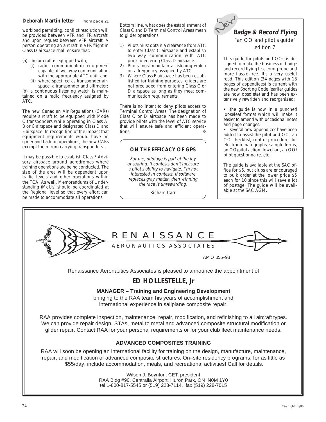workload permitting, conflict resolution will be provided between VFR and IFR aircraft, and upon request between VFR aircraft. A person operating an aircraft in VFR flight in Class D airspace shall ensure that:

- (a) the aircraft is equipped with,
	- (i) radio communication equipment capable of two–way communication with the appropriate ATC unit, and
	- (ii) where specified as transponder airspace, a transponder and altimeter;

(b) a continuous listening watch is maintained on a radio frequency assigned by ATC.

The new Canadian Air Regulations (CARs) require aircraft to be equipped with Mode C transponders while operating in Class A, B or C airspace and designated Class D and E airspace. In recognition of the impact that equipment requirements would have on glider and balloon operations, the new CARs exempt them from carrying transponders.

It may be possible to establish Class F Advisory airspace around aerodromes where training operations are being conducted. The size of the area will be dependent upon traffic levels and other operations within the TCA. As well, Memorandums of Understanding (MoUs) should be coordinated at the Regional level so that every effort can be made to accommodate all operations.

Bottom line, what does the establishment of Class C and D Terminal Control Areas mean to glider operations:

- 1) Pilots must obtain a clearance from ATC to enter Class C airspace and establish two–way communication with ATC prior to entering Class D airspace.
- 2) Pilots must maintain a listening watch on a frequency assigned by ATC.
- 3) Where Class F airspace has been established for training purposes, gliders are not precluded from entering Class C or D airspace as long as they meet communication requirements.

There is no intent to deny pilots access to Terminal Control Areas. The designation of Class C or D airspace has been made to provide pilots with the level of ATC service that will ensure safe and efficient operations. ❖

#### **ON THE EFFICACY OF GPS**

For me, pilotage is part of the joy of soaring. If contests don't measure a pilot's ability to navigate, I'm not interested in contests. If software replaces gray matter, then winning the race is unrewarding.

Richard Carr

# **New Badge & Record Flying** "an OO and pilot's guide" edition 7

This guide for pilots and OOs is designed to make the business of badge and record flying less error prone and more hassle–free. It's a very useful read. This edition (34 pages with 18 pages of appendices) is current with the new Sporting Code (earlier guides are now obsolete) and has been extensively rewritten and reorganized:

• the guide is now in a punched looseleaf format which will make it easier to amend with occasional notes and page changes.

• several new appendices have been added to assist the pilot and OO: an OO checklist, control procedures for electronic barographs, sample forms, an OO/pilot action flowchart, an OO/ pilot questionnaire, etc.

The guide is available at the SAC office for \$6, but clubs are encouraged to bulk order at the lower price \$5 each for 10 since this will save a lot of postage. The guide will be available at the SAC AGM.

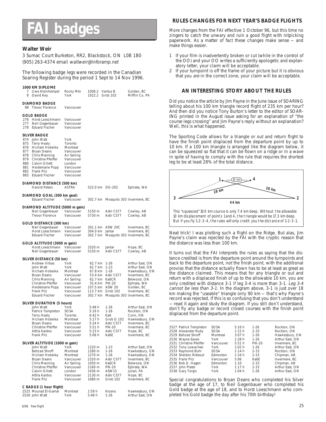# **badges**

#### **Walter Weir**

3 Sumac Court Burketon, RR2, Blackstock, ON L0B 1B0 (905) 263-4374 email waltweir@inforamp.net

The following badge legs were recorded in the Canadian Soaring Register during the period 1 Sept to 14 Nov 1996.

#### **1000 KM DIPLOME**

|                                        | .<br>7 Uwe Kleinhempel<br>8 David Key                                                                                                                                                        | Rocky Mtn<br>York                                                                                                     | 1006.2 Ventus B<br>1022.2 Grob 102 |                                     | Golden, BC<br>Mifflin Co, PA      |
|----------------------------------------|----------------------------------------------------------------------------------------------------------------------------------------------------------------------------------------------|-----------------------------------------------------------------------------------------------------------------------|------------------------------------|-------------------------------------|-----------------------------------|
|                                        | <b>DIAMOND BADGE</b><br>88 Trevor Florence                                                                                                                                                   | Vancouver                                                                                                             |                                    |                                     |                                   |
|                                        | <b>GOLD BADGE</b>                                                                                                                                                                            |                                                                                                                       |                                    |                                     |                                   |
|                                        | 276 Horst Loeschmann<br>277 Neil Gegenbauer<br>278 Eduard Fischer                                                                                                                            | Vancouver<br>Vancouver<br>Vancouver                                                                                   |                                    |                                     |                                   |
|                                        | SILVER BADGE                                                                                                                                                                                 |                                                                                                                       |                                    |                                     |                                   |
| 875<br>876<br>877<br>880<br>881<br>882 | 874 John Watt<br><b>Terry Healy</b><br>Hicham Hobeika<br>Bryan Deans<br>878 Chris Manning<br>879 Christine Pfeiffer<br>Calvin Gillett<br>Heidemarie Popp<br>Frank Pilz<br>883 Eduard Fischer | York<br>Toronto<br>Montreal<br>Vancouver<br>Air Sailing<br>Vancouver<br>London<br>Vancouver<br>Vancouver<br>Vancouver |                                    |                                     |                                   |
|                                        | DIAMOND DISTANCE (500 km)<br><b>Harold Peters</b>                                                                                                                                            | ASTRA                                                                                                                 |                                    | 522.0 km DG-202                     | Ephrata, WA                       |
|                                        | DIAMOND GOAL (300 km goal)<br><b>Eduard Fischer</b>                                                                                                                                          | Vancouver                                                                                                             |                                    | 302.7 km Mosquito 303 Invermere, BC |                                   |
|                                        | DIAMOND ALTITUDE (5000 m gain)                                                                                                                                                               |                                                                                                                       |                                    |                                     |                                   |
|                                        | Neil Gegenbauer<br>Trevor Florence                                                                                                                                                           | Vancouver<br>Vancouver                                                                                                | 5150 m<br>5730 m                   | Astir CS77<br>Astir CS77            | Cowley, AB<br>Cowley, AB          |
|                                        | GOLD DISTANCE (300 km)                                                                                                                                                                       |                                                                                                                       |                                    |                                     |                                   |
|                                        | Neil Gegenbauer Vancouver                                                                                                                                                                    |                                                                                                                       |                                    | 301.1 km ASW 20C                    | Invermere, BC                     |
|                                        | Horst Loeschmann<br><b>Eduard Fischer</b>                                                                                                                                                    | Vancouver<br>Vancouver                                                                                                | 304.0 km Jantar                    | 302.7 km Mosquito 303 Invermere, BC | Invermere, BC                     |
|                                        | GOLD ALTITUDE (3000 m gain)                                                                                                                                                                  |                                                                                                                       |                                    |                                     |                                   |
|                                        | Horst Loeschmann Vancouver<br>Neil Gegenbauer                                                                                                                                                | Vancouver                                                                                                             | 3320 m<br>5150 m                   | Jantar<br>Astir CS77                | Hope, BC<br>Cowley, AB            |
|                                        | SILVER DISTANCE (50 km)                                                                                                                                                                      |                                                                                                                       |                                    |                                     |                                   |
|                                        | Andrew Vilkas                                                                                                                                                                                | York                                                                                                                  | 62.7 km 1-26                       |                                     | Arthur East, ON                   |
|                                        | John Watt<br>Hicham Hobeika                                                                                                                                                                  | York<br>Montreal                                                                                                      | 62.7 km 1-23<br>67.8 km 1-26       |                                     | Arthur East, ON<br>Hawkesbury, ON |
|                                        | Bryan Deans                                                                                                                                                                                  | Vancouver                                                                                                             |                                    | 53.4 km Astir CS77                  | Invermere, BC                     |
|                                        | Chris Manning                                                                                                                                                                                | Air Sailing                                                                                                           |                                    | 62.7 km Ka6CR<br>55.4 km PIK-20     | Belwood, ON                       |
|                                        | Christine Pfeiffer<br>Heidemarie Popp                                                                                                                                                        | Vancouver<br>Vancouver                                                                                                |                                    | 107.5 km ASW 20                     | Ephrata, WA<br>Golden, BC         |
|                                        | Frank Pilz                                                                                                                                                                                   | Vancouver                                                                                                             |                                    | 113.7 km Grob 102                   | Invermere, BC                     |
|                                        | Eduard Fischer                                                                                                                                                                               | Vancouver                                                                                                             |                                    | 302.7 km Mosquito 303 Invermere, BC |                                   |
|                                        | SILVER DURATION (5 hours)                                                                                                                                                                    |                                                                                                                       |                                    |                                     |                                   |
|                                        | John Watt<br>Patrick Templeton                                                                                                                                                               | York<br>SOSA                                                                                                          | 5:48 h<br>5:16 h                   | $1 - 26$<br>$1 - 26$                | Arthur East, ON<br>Rockton, ON    |
|                                        | Terry Healy                                                                                                                                                                                  | Toronto                                                                                                               | 6:42 h                             | Ka6                                 | Conn, ON                          |
|                                        | Hicham Hobeika                                                                                                                                                                               | Montreal<br>Vancouver                                                                                                 | 5:17 h<br>5:24 h                   | Grob G 102                          | Hawkesbury, ON                    |
|                                        | Bryan Deans<br>Christine Pfeiffer                                                                                                                                                            | Vancouver                                                                                                             | 5:51 h                             | Astir CS77<br>PIK-20                | Invermere, BC<br>Invermere, BC    |
|                                        | Attila Kardos<br>Frank Pilz                                                                                                                                                                  | Vancouver<br>Vancouver                                                                                                | 5:23 h<br>5:06h                    | Astir CS77<br>Ka6E                  | Hope, BC<br>Invermere, BC         |
|                                        | SILVER ALTITUDE (1000 m gain)                                                                                                                                                                |                                                                                                                       |                                    |                                     |                                   |
|                                        | John Watt                                                                                                                                                                                    | York                                                                                                                  | 1220 m                             | $1 - 23$                            | Arthur East, ON                   |
|                                        | Behzad Shroff<br>Hicham Hobeika                                                                                                                                                              | Montreal<br>Montreal                                                                                                  | 1280 m<br>1270 m                   | $1 - 26$<br>$1 - 26$                | Hawkesbury, ON<br>Hawkesbury, ON  |
|                                        | Bryan Deans                                                                                                                                                                                  | Vancouver                                                                                                             | 2320 m                             | Astir CS77                          | Invermere, BC                     |
|                                        | Chris Manning                                                                                                                                                                                | Air Sailing                                                                                                           | 1050 m                             | Ka6CR                               | Belwood, ON                       |
|                                        | Christine Pfeiffer<br>Calvin Gillett                                                                                                                                                         | Vancouver<br>London                                                                                                   | 2160 m<br>1036 m                   | PIK-20<br>ASW15                     | Ephrata, WA<br>Julian, PA         |
|                                        | Attila Kardos                                                                                                                                                                                | Vancouver                                                                                                             | 2130 m                             | Astir CS77                          | Hope, BC                          |
|                                        | Frank Pilz                                                                                                                                                                                   | Vancouver                                                                                                             | 1680 m                             | Grob 102                            | Invermere, BC                     |
|                                        | C BADGE (1 hour flight)                                                                                                                                                                      |                                                                                                                       |                                    |                                     |                                   |
|                                        | 2525 Mourad El-Gamal<br>2526 John Watt                                                                                                                                                       | Montreal<br>York                                                                                                      | 1:59 h<br>5:48h                    | Krosno<br>$1 - 26$                  | Hawkesbury, ON<br>Arthur East, ON |
|                                        |                                                                                                                                                                                              |                                                                                                                       |                                    |                                     |                                   |

#### **RULES CHANGES FOR NEXT YEAR'S BADGE FLIGHTS**

More changes from the FAI effective 1 October 96, but this time no zingers to catch the unwary and ruin a good flight with nitpicking paperwork. As a matter of fact these changes make sense — and make things easier.

- 1 If your film is inadvertently broken or cut (while in the control of the OO) and your OO writes a sufficiently apologetic and explanatory letter, your claim will be acceptable.
- 2 If your turnpoint is off the frame of your picture but it is obvious that you are in the correct zone, your claim will be acceptable.

#### **AN INTERESTING STORY ABOUT THE RULES**

Did you notice the article by Jim Payne in the June issue of SOARING telling about his 100 km triangle record flight of 235 km per hour? And then did you notice Tony Burton's letter to the editor of SOAR-ING printed in the August issue asking for an explanation of "the course legs crossing" and Jim Payne's reply without an explanation? Well, this is what happened.

The Sporting Code allows for a triangle or out and return flight to have the finish point displaced from the departure point by up to 10 km. If a 100 km triangle is arranged like the diagram below, it can be squeezed so flat that it can be flown on a ridge or in a wave in spite of having to comply with the rule that requires the shortest leg to be at least 28% of the total distance.



Neat trick! I was plotting such a flight on the Ridge. But alas, Jim Payne's claim was rejected by the FAI with the cryptic reason that the distance was less than 100 km.

It turns out that the FAI interprets the rules as saying that the distance credited is from the departure point around the turnpoints and back to the departure point, not the finish point, with the additional proviso that the distance actually flown has to be at least as great as the distance claimed. This means that for any triangle or out and return with a displaced finish of up to the allowable 10 km, you are only credited with distance 3-1 if leg 3-4 is more than 3-1. Leg 3-4 cannot be less than 3-1. In the diagram above, 3-1 is just over 18 km making the "useable" triangle only 90 km — that's why Payne's record was rejected. If this is so confusing that you don't understand — read it again and study the diagram. If you still don't understand, don't fly any badge or record closed courses with the finish point displaced from the departure point.

| 2527 Patrick Templeton  | <b>SOSA</b> | 5:16 h | $1 - 26$      | Rockton, ON     |
|-------------------------|-------------|--------|---------------|-----------------|
| 2528 Alexander Rudy     | <b>SOSA</b> | 1:15h  | $2 - 33$      | Rockton, ON     |
| 2529 Behzad Shroff      | Montreal    | 3:07h  | $1 - 26$      | Hawkesbury, ON  |
| 2530 Wayne Eaves        | York        | 1:28h  | $1 - 26$      | Arthur East, ON |
| 2531 Christine Pfeiffer | Vancouver   | 5:51 h | <b>PIK-20</b> | Invermere, BC   |
| 2532 Tony Lowachee      | York        | 1:02 h | $1 - 26$      | Arthur East, ON |
| 2533 Raymond Buhr       | <b>SOSA</b> | 1:14h  | $2 - 33$      | Rockton, ON     |
| 2534 Sheldon Rideout    | Fdmonton    | 1:16h  | $2 - 33$      | Chipman, AB     |
| 2535 Frank Pilz         | Vancouver   | 5:06   | Ka6F          | Invermere, BC   |
| 2536 Bob D. Hagen       | Fdmonton    | 1:10   | $2 - 33$      | Chipman, AB     |
| 2537 John Platel        | York        | 1:17h  | $2 - 33$      | Arthur East, ON |
| 2538 Gary Torgis        | York        | 1:04 h | $1 - 26$      | Arthur East, ON |
|                         |             |        |               |                 |

Special congratulations to Bryan Deans who completed his Silver badge at the age of 17, to Neil Gegenbauer who completed his Gold badge at the age of 18, and to Horst Loeschmann who completed his Gold badge the day after his 70th birthday!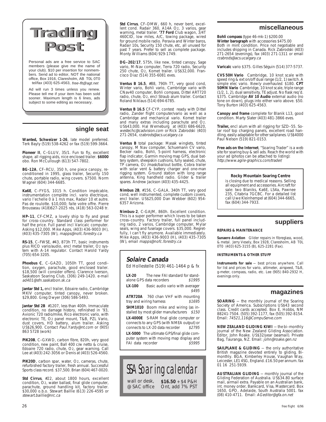

Personal ads are a free service to SAC members (please give me the name of your club). \$10 per insertion for nonmembers. Send ad to editor, NOT the national office, Box 1916, Claresholm, AB T0L 0T0 tel/fax (403) 625-4563, free-flt@agt.net

Ad will run 3 times unless you renew. Please tell me if your item has been sold sooner. Maximum length is 6 lines, ads subject to some editing as necessary.

## **single seat**

**Wanted, Schweizer 1-26**, late model preferred. Terk Bayly (519) 538-4262 or fax (519) 599-3664.

**Pioneer II**, C–GLUV, 35/1. Fun to fly, excellent shape, all rigging aids, nice enclosed trailer. **\$6000** obo. Ron McCullough (613) 547-7802.

**BG-12A**, CF–RCU, 350 h, one piece canopy, re-conditioned in 1995, glass trailer, Security 150 chute, portable radio, wing covers. \$7500. Norm Wagner (604) 344-6685.

**Ka6E**, C–FYGS, 1015 h. Condition impécable, instrumentation complète incl. vario électrique, vario l'echelle 0 à 1 m/s max, Radair 10 et autre. Pas de roulotte. \$10,000; faite votre offre. Pierre Brousseau (418)627-2025 rés, (418) 563-0248 tr.

**HP–11**, CF-CMZ, a lovely ship to fly and great for cross–country. Standard class performer for half the price. Full panel incl Varicalc computer. Asking \$12,000. Mike Apps, (403) 436-9003 (H), (403) 435-7305 (W), mapps@nofc.forestry.ca

**RS-15**, C–FWSE, #43, 873h TT, basic instruments plus RICO vario/audio, encl metal trailer, O2 system with A-14 regulator. Contact Harold Yardy (705) 654-3205.

**Phoebus C**, C–GAZO, 1050h TT, good condition, oxygen, parachute, good enclosed trailer. \$18,500 (will consider offers). Clarence Iverson, Saskatoon Soaring Club, (306) 249-1420. e-mail ad401@sfn.saskatoon.sk.ca

**Jantar Std 1,** encl trailer, Edoaire radio, Cambridge MKIV computer, tinted canopy, never broken. \$29,800. Greg Dwyer (306) 586-5493.

**Jantar Std 2B** #1207, less than 400h. Immaculate condition, no damage history, refinished in '93, Avionic 720 radio/mike, Rico electronic vario, with electronic TE, O2 panel mount, T&B, PZL Vario, dust covers, HD battery, alum trailer. Asking<br>US\$26,900. Contact *Paul.Yardy@nt.com* or (905) 863 5728 (work)

**PIK20B**, C–GXWD, carbon fibre, 820h, very good condition, new paint, Ball 400 c/w netto & cruise, Edoaire 720 radio, chute, O2, gear warning. Call Lee at (403) 242-3056 or Denis at (403) 526-4560.

PIK20D, carbon spar, water, O<sub>2</sub>, cameras, chute, refurbished factory trailer, fresh annual. Successful Sports class record. \$37,500. Brian (604) 467-0020.

**Std Cirrus**, #22, about 1800 hours, excellent condition, O2, water ballast, final glide computer, parachute, ground handling kit, factory trailer. \$30,000 o.b.o. Stewart Baillie (613) 226-4595 or stewart.baillie@nrc.ca

**Std Cirrus**, CF–DMW, 660 h, never bent, excellent cond. Radair 360, A14A O2, 3 varios, gear warning, metal trailer. **'77 Ford** Club wagon, 3/4T 460CID, low miles, A/C, towing package, wired for ground mobile radio. Peravia and Winter baros, Radair 10s, Security 150 chute, etc, all unused for past 7 years. Prefer to sell as complete package. Monty Williams (604) 929-1749.

**DG–202/17**, 575h, like new, tinted canopy, Sage vario, M-Nav computer, Terra 720 radio, Security 250 chute, O2, Komet trailer. US\$32,000. Francisco Diaz (514) 355-6081 eves.

**Ventus B 16.5**, #88, 790h TT, very good cond, Winter vario, Bohli vario, Cambridge vario with CNav40 computer, Bohli compass, Dittel ART720 radio, chute, O2, encl Straub alum trailer. Contact Roland Niklaus (514) 694-6785.

**Ventus B 16.5** CF-CYP, contest ready with Dittel radio, Zander flight computer/vario as well as a Cambridge and mechanical vario. Komet trailer and many extras including parachute and O2. US\$43,000. Hal Werneburg at (403) 686-6620, westechc@cadvision.com or Rick Zabrodski (403) 271-2654, rzabrods@acs.ucalgary.ca

**Ventus B** total package: Masak winglets, tinted canopy, M Nav computer, Schuemann CV vario, Becker radio, Bohli, 5-point harness, electronic flap indicator, Garmin moving map GPS, dual bat-tery system, sheepskin cushions, fully sealed, chute, TP camera, O2 /mask/bailout bottle, Cobra trailer with solar vent & battery charger and one-man rigging system. Ground station with long range antenna, King handheld radio. Glider & trailer spares. Andrew Jackson (403) 435-4425.

**Nimbus 2B**, #156, C–GALA, 340h TT, very good cond, well instrumented, complete custom covers, encl trailer. US\$25,000 Dan Webber (602) 954- 6357 Arizona.

**Nimbus–2**, C-GAJM, 860h. Excellent condition. This is a super performer which loves to be taken cross–country. Factory trailer, full panel including radio, 2 varios, Cambridge computer, Mylar seals, wing and fuselage covers. \$35,000. Regretfully, I can't fly anymore. Available immediately Mike Apps, (403) 436-9003 (H), (403) 435-7305 (W), email mapps@nofc.forestry.ca

## **Solaire Canada**

Ed Hollestelle (519) 461-1464 p & fx

**LX-20** The new FAI standard for stand-<br>alone GPS data recorders \$1995 alone GPS data recorders **LX-100** Basic audio vario with averager \$495

**ATR720A** 760 chan VHF with mounting tray and wiring harness \$1695

**SHM1010** Boom mike and wiring (as installed by most glider manufacturers \$150 **LX-4000E** S-RAM final glide computer or connects to any GPS (with NMEA output) or<br>connects to LX-20 data recorder \$2795 connects to LX-20 data recorder

**LX-5000** The ultimate GPS/final glide computer system with moving map display and<br>FAI data recorder \$5995 FAI data recorder

## SSA Soaring calendar **\$16.50** + \$4 P&H wall or desk,

Ont, add 7% PST @ SAC office

#### **miscellaneous**

**Bohli compass** (type 46-mk-1) \$200.00 **Winter barograph** with accessories \$475.00 Both in mint condition. Price not negotiable and includes shipping in Canada. Rick Zabrodski (403) 271-2654 (evenings), fax (403) 271-1311 or email rzabrods@acs.ucalgary.ca

**Varicalc** vario \$375. Gilles Séguin (514) 377-5737.

**CVS 50H Vario** Cambridge, 10 knot scale with speed ring & ext on/off dual range (1/2, 1) switch. A simple elec vario. Newly overhauled. \$180. **CPT 50MN Vario** Cambridge, 10 knot scale, triple range (1/2, 1, 2), dual sensitivity, TE adjust. No flask req'd. \$375. Cambridge **AV 10 Audio** external audio (no tone on down), plugs into either vario above. \$50. Tony Burton (403) 625-4563.

**Canopy and frame** complete for Blanik L13, good condition. Marty Slater (403) 481-3866 eves.

**Trailer,** encl alum with all rigging for SZD–55. Solar roof top charging panels, excellent road han-dling, easily adaptable for other sailplanes. US\$4000 Paul Nelson (519) 821-0153.

**Free ads on the Internet**, "Soaring Trader" is a web site for soaring buy & sell ads. Reach the world with your ad (photos can be attached to listing): http://www.agile-graphics.com/trader/

#### **Rocky Mountain Soaring Centre**

is closing due to medical reasons. Selling all equipment and accessories. Aircraft for sale: two Blaniks, Ka6E, LS4a, Pawnee 235, Citabria 7GCBC. For a detailed list call Uwe Kleinhempel at (604) 344-6665, fax (604) 344-7933.

#### **suppliers**

#### **REPAIRS & MAINTENANCE**

**Sunaero Aviation** Glider repairs in fibreglass, wood, & metal. Jerry Vesely, Box 1928, Claresholm, AB T0L 0T0 (403) 625-3155 (B), 625-2281 (Fax).

#### **INSTRUMENTS & OTHER STUFF**

**Instruments for sale** — best prices anywhere. Call for list and prices for vario, altimeter, airspeed, T&B, g-meter, compass, radio, etc. Lee (905) 840-2932 H, evenings only.

#### **magazines**

**SOARING** — the monthly journal of the Soaring Society of America. Subscriptions US\$43 second class. Credit cards accepted. Box E, Hobbs, NM 88241-7504. (505) 392-1177, fax (505) 392-8154. Email: 74521,116@CompuServe.com

**NEW ZEALAND GLIDING KIWI** — the bi–monthly journal of the New Zealand Gliding Association. Editor, John Roake. US\$32/year (seamail). Private<br>Bag, Tauranga, NZ. Email: *john@roake.gen.nz* 

**SAILPLANE & GLIDING** — the only authoritative British magazine devoted entirely to gliding. Bi-monthly. BGA, Kimberley House, Vaughan Way, Leicester, LE1 4SG, England. £16.50 per annum. fax 01 16 251-5939.

**AUSTRALIAN GLIDING** — monthly journal of the Gliding Federation of Australia. US\$34.80 surface mail, airmail extra. Payable on an Australian bank, int. money order, Bankcard, Visa, Mastercard. Box 1650, GPO, Adelaide, South Australia 5001. fax (08) 410-4711. Email: AGeditor@gfa.on.net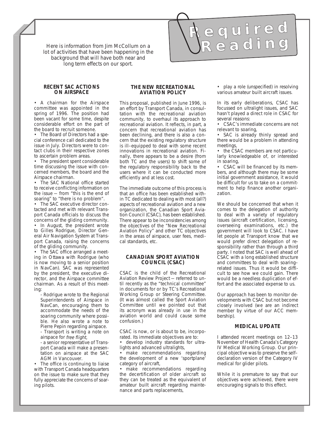lot of activities that have been happening in the Here is information from Jim McCollum on a  $R \in \mathbb{R}$  e a d in  $\Omega$ background that will have both near and long term effects on our sport.

#### **RECENT SAC ACTIONS ON AIRSPACE**

• A chairman for the Airspace committee was appointed in the spring of 1996. The position had been vacant for some time, despite considerable effort on the part of the board to recruit someone.

• The Board of Directors had a special conference call dedicated to the issue in July. Directors were to contact clubs in their respective zones to ascertain problem areas.

• The president spent considerable time discussing the issue with concerned members, the board and the Airspace chairman.

• The SAC National office started to receive conflicting information on the issue — from "this is the end of soaring" to "there is no problem".

• The SAC executive director contacted and met with relevant Transport Canada officials to discuss the concerns of the gliding community.

• In August, the president wrote to Gilles Rodrigue, Director General Air Navigation System at Transport Canada, raising the concerns of the gliding community.

• The SAC office arranged a meeting in Ottawa with Rodrigue (who is now moving to a senior position in NavCan). SAC was represented by the president, the executive director, and the Airspace committee chairman. As a result of this meeting:

- Rodrigue wrote to the Regional Superintendents of Airspace in NavCan, encouraging them to accommodate the needs of the soaring community where possible. He also wrote a note to Pierre Pepin regarding airspace.

- Transport is writing a note on airspace for free flight,

- a senior representative of Transport Canada will make a presentation on airspace at the SAC AGM in Vancouver.

• The office is continuing to liaise with Transport Canada headquarters on the issue to make sure that they fully appreciate the concerns of soaring pilots.

#### **THE NEW RECREATIONAL AVIATION POLICY**

This proposal, published in June 1996, is an effort by Transport Canada, in consultation with the recreational aviation community, to overhaul its approach to recreational aviation. It reflects, in part, a concern that recreational aviation has been declining, and there is also a concern that the existing regulatory structure is ill–equipped to deal with some recent innovations in recreational aviation. Finally, there appears to be a desire (from both TC and the users) to shift some of the regulatory responsibility back to the users where it can be conducted more efficiently and at less cost.

The immediate outcome of this process is that an office has been established within TC dedicated to dealing with most (all?) aspects of recreational aviation and a new organization, the Canadian Sport Aviation Council (CSAC), has been established. There appear to be inconsistencies among the objectives of the "New Recreational Aviation Policy" and other TC objectives in the areas of airspace, user fees, medical standards, etc.

#### **CANADIAN SPORT AVIATION COUNCIL (CSAC)**

CSAC is the child of the Recreational Aviation Review Project — referred to until recently as the "technical committee" in documents for or by TC's Recreational Working Group or Steering Committee. (It was almost called the Sport Aviation Committee until we pointed out that its acronym was already in use in the aviation world and could cause some confusion.)

CSAC is now, or is about to be, incorporated. Its immediate objectives are to:

• develop industry standards for ultralights and advanced ultralights,

• make recommendations regarding the development of a new 'sportplane' category of aircraft,

• make recommendations regarding the decertification of older aircraft so they can be treated as the equivalent of amateur built aircraft regarding maintenance and parts replacements,

6/96 free flight 27

• play a role (unspecified) in resolving various amateur built aircraft issues.

**R e q u i r e d**

In its early deliberations, CSAC has focussed on ultralight issues, and SAC hasn't played a direct role in CSAC for several reasons:

• CSAC's immediate concerns are not relevant to soaring,

• SAC is already thinly spread and there would be a problem in attending meetings,

• the CSAC members are not particularly knowledgeable of, or interested in soaring,

• CSAC will be financed by its members, and although there may be some initial government assistance, it would be difficult for us to take on a commitment to help finance another organization.

We should be concerned that when it comes to the delegation of authority to deal with a variety of regulatory issues (aircraft certification, licensing, overseeing examinations, etc.) the government will look to CSAC. I have let people at Transport know that we would prefer direct delegation of responsibility rather than through a third party. I noted that SAC is well ahead of CSAC with a long established structure and committees to deal with soaring– related issues. Thus it would be difficult to see how we could gain. There would be a needless duplication of effort and the associated expense to us.

Our approach has been to monitor developments with CSAC but not become closely involved (we are an indirect member by virtue of our ACC membership).

#### **MEDICAL UPDATE**

I attended recent meetings on 12–13 November of Health Canada's Category IV Medical Working Group. Our principal objective was to preserve the self– declaration version of the Category IV medical for glider pilots.

While it is premature to say that our objectives were achieved, there were encouraging signals to this effect.